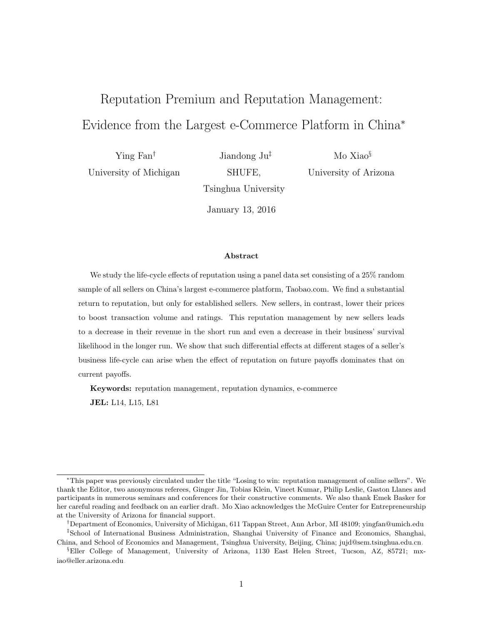# Reputation Premium and Reputation Management: Evidence from the Largest e-Commerce Platform in China<sup>∗</sup>

Ying Fan† University of Michigan Jiandong Ju‡ SHUFE,

Mo Xiao§

University of Arizona

Tsinghua University

January 13, 2016

#### Abstract

We study the life-cycle effects of reputation using a panel data set consisting of a 25% random sample of all sellers on China's largest e-commerce platform, Taobao.com. We find a substantial return to reputation, but only for established sellers. New sellers, in contrast, lower their prices to boost transaction volume and ratings. This reputation management by new sellers leads to a decrease in their revenue in the short run and even a decrease in their business' survival likelihood in the longer run. We show that such differential effects at different stages of a seller's business life-cycle can arise when the effect of reputation on future payoffs dominates that on current payoffs.

Keywords: reputation management, reputation dynamics, e-commerce JEL: L14, L15, L81

<sup>∗</sup>This paper was previously circulated under the title "Losing to win: reputation management of online sellers". We thank the Editor, two anonymous referees, Ginger Jin, Tobias Klein, Vineet Kumar, Philip Leslie, Gaston Llanes and participants in numerous seminars and conferences for their constructive comments. We also thank Emek Basker for her careful reading and feedback on an earlier draft. Mo Xiao acknowledges the McGuire Center for Entrepreneurship at the University of Arizona for financial support.

<sup>†</sup>Department of Economics, University of Michigan, 611 Tappan Street, Ann Arbor, MI 48109; [yingfan@umich.edu.](mailto:yingfan@umich.edu) ‡School of International Business Administration, Shanghai University of Finance and Economics, Shanghai,

China, and School of Economics and Management, Tsinghua University, Beijing, China; [jujd@sem.tsinghua.edu.cn.](mailto:jujd@sem.tsinghua.edu.cn)

<sup>§</sup>Eller College of Management, University of Arizona, 1130 East Helen Street, Tucson, AZ, 85721; [mx](mailto:mxiao@eller.arizona.edu)[iao@eller.arizona.edu.](mailto:mxiao@eller.arizona.edu)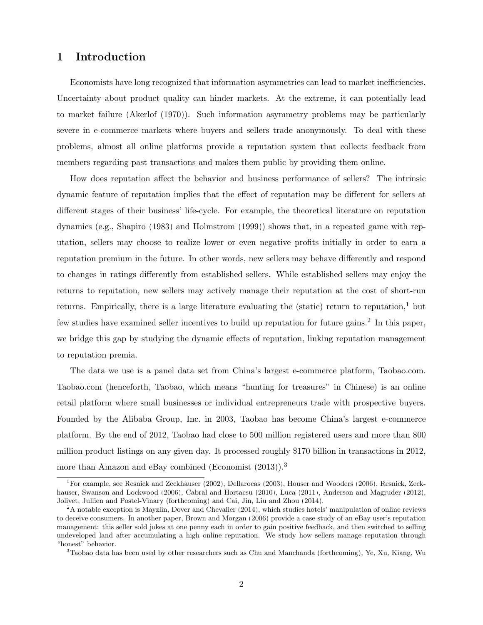## 1 Introduction

Economists have long recognized that information asymmetries can lead to market inefficiencies. Uncertainty about product quality can hinder markets. At the extreme, it can potentially lead to market failure [\(Akerlof](#page-25-0) [\(1970\)](#page-25-0)). Such information asymmetry problems may be particularly severe in e-commerce markets where buyers and sellers trade anonymously. To deal with these problems, almost all online platforms provide a reputation system that collects feedback from members regarding past transactions and makes them public by providing them online.

How does reputation affect the behavior and business performance of sellers? The intrinsic dynamic feature of reputation implies that the effect of reputation may be different for sellers at different stages of their business' life-cycle. For example, the theoretical literature on reputation dynamics (e.g., [Shapiro](#page-27-0) [\(1983\)](#page-27-0) and [Holmstrom](#page-26-0) [\(1999\)](#page-26-0)) shows that, in a repeated game with reputation, sellers may choose to realize lower or even negative profits initially in order to earn a reputation premium in the future. In other words, new sellers may behave differently and respond to changes in ratings differently from established sellers. While established sellers may enjoy the returns to reputation, new sellers may actively manage their reputation at the cost of short-run returns. Empirically, there is a large literature evaluating the (static) return to reputation,<sup>1</sup> but few studies have examined seller incentives to build up reputation for future gains.<sup>2</sup> In this paper, we bridge this gap by studying the dynamic effects of reputation, linking reputation management to reputation premia.

The data we use is a panel data set from China's largest e-commerce platform, Taobao.com. Taobao.com (henceforth, Taobao, which means "hunting for treasures" in Chinese) is an online retail platform where small businesses or individual entrepreneurs trade with prospective buyers. Founded by the Alibaba Group, Inc. in 2003, Taobao has become China's largest e-commerce platform. By the end of 2012, Taobao had close to 500 million registered users and more than 800 million product listings on any given day. It processed roughly \$170 billion in transactions in 2012, more than Amazon and eBay combined [\(Economist](#page-26-1) [\(2013\)](#page-26-1)).<sup>3</sup>

<sup>1</sup>For example, see [Resnick and Zeckhauser](#page-27-1) [\(2002\)](#page-27-1), [Dellarocas](#page-26-2) [\(2003\)](#page-26-2), [Houser and Wooders](#page-27-2) [\(2006\)](#page-27-2), [Resnick, Zeck](#page-27-3)[hauser, Swanson and Lockwood](#page-27-3) [\(2006\)](#page-27-3), [Cabral and Hortacsu](#page-25-1) [\(2010\)](#page-25-1), [Luca](#page-27-4) [\(2011\)](#page-27-4), [Anderson and Magruder](#page-25-2) [\(2012\)](#page-25-2), [Jolivet, Jullien and Postel-Vinary](#page-27-5) [\(forthcoming\)](#page-27-5) and [Cai, Jin, Liu and Zhou](#page-26-3) [\(2014\)](#page-26-3).

<sup>2</sup>A notable exception is [Mayzlin, Dover and Chevalier](#page-27-6) [\(2014\)](#page-27-6), which studies hotels' manipulation of online reviews to deceive consumers. In another paper, [Brown and Morgan](#page-25-3) [\(2006\)](#page-25-3) provide a case study of an eBay user's reputation management: this seller sold jokes at one penny each in order to gain positive feedback, and then switched to selling undeveloped land after accumulating a high online reputation. We study how sellers manage reputation through "honest" behavior.

<sup>3</sup>Taobao data has been used by other researchers such as [Chu and Manchanda](#page-26-4) [\(forthcoming\)](#page-26-4), [Ye, Xu, Kiang, Wu](#page-27-7)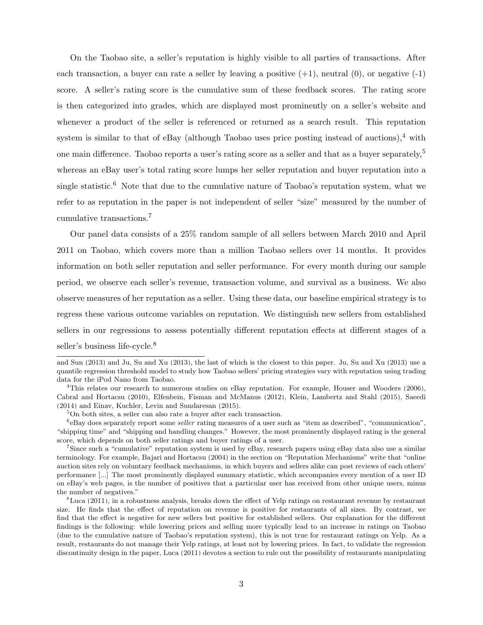[On the Taobao site, a seller's reputation is highly visible to all parties of transactions. After](#page-27-7) each transaction, a buyer can rate a seller by leaving a positive  $(+1)$ , neutral  $(0)$ , or negative  $(-1)$ [score. A seller's rating score is the cumulative sum of these feedback scores. The rating score](#page-27-7) [is then categorized into grades, which are displayed most prominently on a seller's website and](#page-27-7) [whenever a product of the seller is referenced or returned as a search result. This reputation](#page-27-7) [system is similar to that of eBay \(although Taobao uses price posting instead of auctions\),](#page-27-7) $4$  with [one main difference. Taobao reports a user's rating score as a seller and that as a buyer separately,](#page-27-7)<sup>5</sup> [whereas an eBay user's total rating score lumps her seller reputation and buyer reputation into a](#page-27-7) single statistic.<sup>6</sup> [Note that due to the cumulative nature of Taobao's reputation system, what we](#page-27-7) [refer to as reputation in the paper is not independent of seller "size" measured by the number of](#page-27-7) [cumulative transactions.](#page-27-7)<sup>7</sup>

[Our panel data consists of a 25% random sample of all sellers between March 2010 and April](#page-27-7) [2011 on Taobao, which covers more than a million Taobao sellers over 14 months. It provides](#page-27-7) [information on both seller reputation and seller performance. For every month during our sample](#page-27-7) [period, we observe each seller's revenue, transaction volume, and survival as a business. We also](#page-27-7) [observe measures of her reputation as a seller. Using these data, our baseline empirical strategy is to](#page-27-7) [regress these various outcome variables on reputation. We distinguish new sellers from established](#page-27-7) [sellers in our regressions to assess potentially different reputation effects at different stages of a](#page-27-7) [seller's business life-cycle.](#page-27-7)<sup>8</sup>

[and Sun](#page-27-7) [\(2013\)](#page-27-7) and [Ju, Su and Xu](#page-27-8) [\(2013\)](#page-27-8), the last of which is the closest to this paper. [Ju, Su and Xu](#page-27-8) [\(2013\)](#page-27-8) use a quantile regression threshold model to study how Taobao sellers' pricing strategies vary with reputation using trading data for the iPod Nano from Taobao.

<sup>&</sup>lt;sup>4</sup>This relates our research to numerous studies on eBay reputation. For example, [Houser and Wooders](#page-27-2) [\(2006\)](#page-27-2), [Cabral and Hortacsu](#page-25-1) [\(2010\)](#page-25-1), [Elfenbein, Fisman and McManus](#page-26-5) [\(2012\)](#page-26-5), [Klein, Lambertz and Stahl](#page-27-9) [\(2015\)](#page-27-9), [Saeedi](#page-27-10) [\(2014\)](#page-27-10) and [Einav, Kuchler, Levin and Sundaresan](#page-26-6) [\(2015\)](#page-26-6).

<sup>5</sup>On both sites, a seller can also rate a buyer after each transaction.

<sup>&</sup>lt;sup>6</sup> eBay does separately report some *seller* rating measures of a user such as "item as described", "communication", "shipping time" and "shipping and handling changes." However, the most prominently displayed rating is the general score, which depends on both seller ratings and buyer ratings of a user.

<sup>7</sup>Since such a "cumulative" reputation system is used by eBay, research papers using eBay data also use a similar terminology. For example, [Bajari and Hortacsu](#page-25-4) [\(2004\)](#page-25-4) in the section on "Reputation Mechanisms" write that "online auction sites rely on voluntary feedback mechanisms, in which buyers and sellers alike can post reviews of each others' performance [...] The most prominently displayed summary statistic, which accompanies every mention of a user ID on eBay's web pages, is the number of positives that a particular user has received from other unique users, minus the number of negatives."

<sup>8</sup>[Luca](#page-27-4) [\(2011\)](#page-27-4), in a robustness analysis, breaks down the effect of Yelp ratings on restaurant revenue by restaurant size. He finds that the effect of reputation on revenue is positive for restaurants of all sizes. By contrast, we find that the effect is negative for new sellers but positive for established sellers. Our explanation for the different findings is the following: while lowering prices and selling more typically lead to an increase in ratings on Taobao (due to the cumulative nature of Taobao's reputation system), this is not true for restaurant ratings on Yelp. As a result, restaurants do not manage their Yelp ratings, at least not by lowering prices. In fact, to validate the regression discontinuity design in the paper, [Luca](#page-27-4) [\(2011\)](#page-27-4) devotes a section to rule out the possibility of restaurants manipulating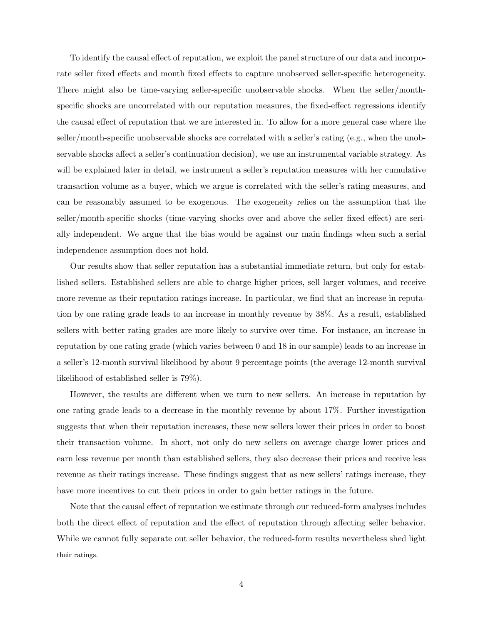To identify the causal effect of reputation, we exploit the panel structure of our data and incorporate seller fixed effects and month fixed effects to capture unobserved seller-specific heterogeneity. There might also be time-varying seller-specific unobservable shocks. When the seller/monthspecific shocks are uncorrelated with our reputation measures, the fixed-effect regressions identify the causal effect of reputation that we are interested in. To allow for a more general case where the seller/month-specific unobservable shocks are correlated with a seller's rating (e.g., when the unobservable shocks affect a seller's continuation decision), we use an instrumental variable strategy. As will be explained later in detail, we instrument a seller's reputation measures with her cumulative transaction volume as a buyer, which we argue is correlated with the seller's rating measures, and can be reasonably assumed to be exogenous. The exogeneity relies on the assumption that the seller/month-specific shocks (time-varying shocks over and above the seller fixed effect) are serially independent. We argue that the bias would be against our main findings when such a serial independence assumption does not hold.

Our results show that seller reputation has a substantial immediate return, but only for established sellers. Established sellers are able to charge higher prices, sell larger volumes, and receive more revenue as their reputation ratings increase. In particular, we find that an increase in reputation by one rating grade leads to an increase in monthly revenue by 38%. As a result, established sellers with better rating grades are more likely to survive over time. For instance, an increase in reputation by one rating grade (which varies between 0 and 18 in our sample) leads to an increase in a seller's 12-month survival likelihood by about 9 percentage points (the average 12-month survival likelihood of established seller is 79%).

However, the results are different when we turn to new sellers. An increase in reputation by one rating grade leads to a decrease in the monthly revenue by about 17%. Further investigation suggests that when their reputation increases, these new sellers lower their prices in order to boost their transaction volume. In short, not only do new sellers on average charge lower prices and earn less revenue per month than established sellers, they also decrease their prices and receive less revenue as their ratings increase. These findings suggest that as new sellers' ratings increase, they have more incentives to cut their prices in order to gain better ratings in the future.

Note that the causal effect of reputation we estimate through our reduced-form analyses includes both the direct effect of reputation and the effect of reputation through affecting seller behavior. While we cannot fully separate out seller behavior, the reduced-form results nevertheless shed light

their ratings.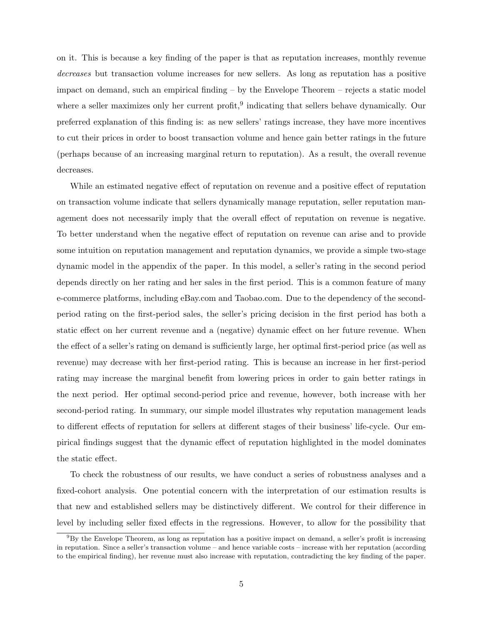on it. This is because a key finding of the paper is that as reputation increases, monthly revenue decreases but transaction volume increases for new sellers. As long as reputation has a positive impact on demand, such an empirical finding – by the Envelope Theorem – rejects a static model where a seller maximizes only her current profit,<sup>9</sup> indicating that sellers behave dynamically. Our preferred explanation of this finding is: as new sellers' ratings increase, they have more incentives to cut their prices in order to boost transaction volume and hence gain better ratings in the future (perhaps because of an increasing marginal return to reputation). As a result, the overall revenue decreases.

While an estimated negative effect of reputation on revenue and a positive effect of reputation on transaction volume indicate that sellers dynamically manage reputation, seller reputation management does not necessarily imply that the overall effect of reputation on revenue is negative. To better understand when the negative effect of reputation on revenue can arise and to provide some intuition on reputation management and reputation dynamics, we provide a simple two-stage dynamic model in the appendix of the paper. In this model, a seller's rating in the second period depends directly on her rating and her sales in the first period. This is a common feature of many e-commerce platforms, including eBay.com and Taobao.com. Due to the dependency of the secondperiod rating on the first-period sales, the seller's pricing decision in the first period has both a static effect on her current revenue and a (negative) dynamic effect on her future revenue. When the effect of a seller's rating on demand is sufficiently large, her optimal first-period price (as well as revenue) may decrease with her first-period rating. This is because an increase in her first-period rating may increase the marginal benefit from lowering prices in order to gain better ratings in the next period. Her optimal second-period price and revenue, however, both increase with her second-period rating. In summary, our simple model illustrates why reputation management leads to different effects of reputation for sellers at different stages of their business' life-cycle. Our empirical findings suggest that the dynamic effect of reputation highlighted in the model dominates the static effect.

To check the robustness of our results, we have conduct a series of robustness analyses and a fixed-cohort analysis. One potential concern with the interpretation of our estimation results is that new and established sellers may be distinctively different. We control for their difference in level by including seller fixed effects in the regressions. However, to allow for the possibility that

 $9By$  the Envelope Theorem, as long as reputation has a positive impact on demand, a seller's profit is increasing in reputation. Since a seller's transaction volume – and hence variable costs – increase with her reputation (according to the empirical finding), her revenue must also increase with reputation, contradicting the key finding of the paper.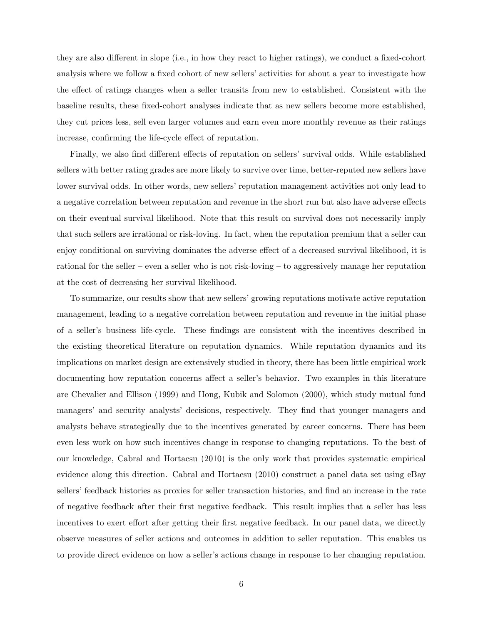they are also different in slope (i.e., in how they react to higher ratings), we conduct a fixed-cohort analysis where we follow a fixed cohort of new sellers' activities for about a year to investigate how the effect of ratings changes when a seller transits from new to established. Consistent with the baseline results, these fixed-cohort analyses indicate that as new sellers become more established, they cut prices less, sell even larger volumes and earn even more monthly revenue as their ratings increase, confirming the life-cycle effect of reputation.

Finally, we also find different effects of reputation on sellers' survival odds. While established sellers with better rating grades are more likely to survive over time, better-reputed new sellers have lower survival odds. In other words, new sellers' reputation management activities not only lead to a negative correlation between reputation and revenue in the short run but also have adverse effects on their eventual survival likelihood. Note that this result on survival does not necessarily imply that such sellers are irrational or risk-loving. In fact, when the reputation premium that a seller can enjoy conditional on surviving dominates the adverse effect of a decreased survival likelihood, it is rational for the seller – even a seller who is not risk-loving – to aggressively manage her reputation at the cost of decreasing her survival likelihood.

To summarize, our results show that new sellers' growing reputations motivate active reputation management, leading to a negative correlation between reputation and revenue in the initial phase of a seller's business life-cycle. These findings are consistent with the incentives described in the existing theoretical literature on reputation dynamics. While reputation dynamics and its implications on market design are extensively studied in theory, there has been little empirical work documenting how reputation concerns affect a seller's behavior. Two examples in this literature are [Chevalier and Ellison](#page-26-7) [\(1999\)](#page-26-7) and [Hong, Kubik and Solomon](#page-26-8) [\(2000\)](#page-26-8), which study mutual fund managers' and security analysts' decisions, respectively. They find that younger managers and analysts behave strategically due to the incentives generated by career concerns. There has been even less work on how such incentives change in response to changing reputations. To the best of our knowledge, [Cabral and Hortacsu](#page-25-1) [\(2010\)](#page-25-1) is the only work that provides systematic empirical evidence along this direction. [Cabral and Hortacsu](#page-25-1) [\(2010\)](#page-25-1) construct a panel data set using eBay sellers' feedback histories as proxies for seller transaction histories, and find an increase in the rate of negative feedback after their first negative feedback. This result implies that a seller has less incentives to exert effort after getting their first negative feedback. In our panel data, we directly observe measures of seller actions and outcomes in addition to seller reputation. This enables us to provide direct evidence on how a seller's actions change in response to her changing reputation.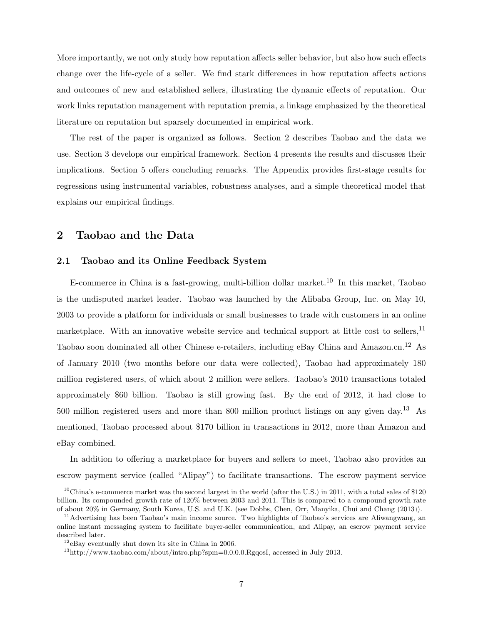More importantly, we not only study how reputation affects seller behavior, but also how such effects change over the life-cycle of a seller. We find stark differences in how reputation affects actions and outcomes of new and established sellers, illustrating the dynamic effects of reputation. Our work links reputation management with reputation premia, a linkage emphasized by the theoretical literature on reputation but sparsely documented in empirical work.

The rest of the paper is organized as follows. Section [2](#page-6-0) describes Taobao and the data we use. Section [3](#page-10-0) develops our empirical framework. Section [4](#page-17-0) presents the results and discusses their implications. Section [5](#page-24-0) offers concluding remarks. The Appendix provides first-stage results for regressions using instrumental variables, robustness analyses, and a simple theoretical model that explains our empirical findings.

## <span id="page-6-0"></span>2 Taobao and the Data

## <span id="page-6-1"></span>2.1 Taobao and its Online Feedback System

E-commerce in China is a fast-growing, multi-billion dollar market.<sup>10</sup> In this market, Taobao is the undisputed market leader. Taobao was launched by the Alibaba Group, Inc. on May 10, 2003 to provide a platform for individuals or small businesses to trade with customers in an online marketplace. With an innovative website service and technical support at little cost to sellers,  $^{11}$ Taobao soon dominated all other Chinese e-retailers, including eBay China and Amazon.cn.<sup>12</sup> As of January 2010 (two months before our data were collected), Taobao had approximately 180 million registered users, of which about 2 million were sellers. Taobao's 2010 transactions totaled approximately \$60 billion. Taobao is still growing fast. By the end of 2012, it had close to 500 million registered users and more than 800 million product listings on any given day.<sup>13</sup> As mentioned, Taobao processed about \$170 billion in transactions in 2012, more than Amazon and eBay combined.

In addition to offering a marketplace for buyers and sellers to meet, Taobao also provides an escrow payment service (called "Alipay") to facilitate transactions. The escrow payment service

<sup>10</sup>China's e-commerce market was the second largest in the world (after the U.S.) in 2011, with a total sales of \$120 billion. Its compounded growth rate of 120% between 2003 and 2011. This is compared to a compound growth rate of about 20% in Germany, South Korea, U.S. and U.K. (see [Dobbs, Chen, Orr, Manyika, Chui and Chang](#page-26-9) [\(2013\)](#page-26-9)).

<sup>&</sup>lt;sup>11</sup>Advertising has been Taobao's main income source. Two highlights of Taobao's services are Aliwangwang, an online instant messaging system to facilitate buyer-seller communication, and Alipay, an escrow payment service described later.

 $12$ eBay eventually shut down its site in China in 2006.

<sup>13</sup>http://www.taobao.com/about/intro.php?spm=0.0.0.0.RgqosI, accessed in July 2013.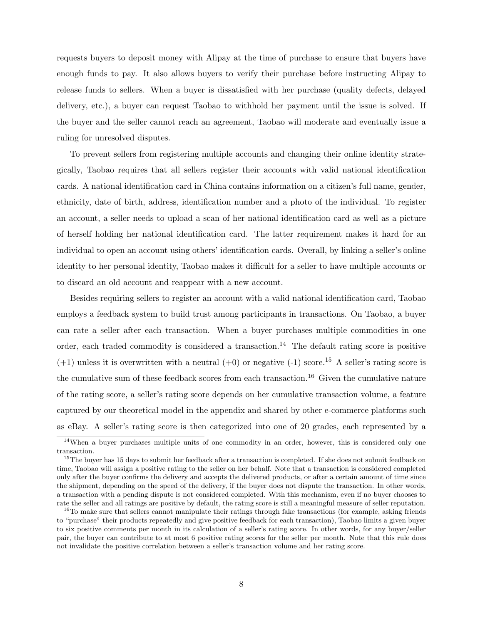requests buyers to deposit money with Alipay at the time of purchase to ensure that buyers have enough funds to pay. It also allows buyers to verify their purchase before instructing Alipay to release funds to sellers. When a buyer is dissatisfied with her purchase (quality defects, delayed delivery, etc.), a buyer can request Taobao to withhold her payment until the issue is solved. If the buyer and the seller cannot reach an agreement, Taobao will moderate and eventually issue a ruling for unresolved disputes.

To prevent sellers from registering multiple accounts and changing their online identity strategically, Taobao requires that all sellers register their accounts with valid national identification cards. A national identification card in China contains information on a citizen's full name, gender, ethnicity, date of birth, address, identification number and a photo of the individual. To register an account, a seller needs to upload a scan of her national identification card as well as a picture of herself holding her national identification card. The latter requirement makes it hard for an individual to open an account using others' identification cards. Overall, by linking a seller's online identity to her personal identity, Taobao makes it difficult for a seller to have multiple accounts or to discard an old account and reappear with a new account.

Besides requiring sellers to register an account with a valid national identification card, Taobao employs a feedback system to build trust among participants in transactions. On Taobao, a buyer can rate a seller after each transaction. When a buyer purchases multiple commodities in one order, each traded commodity is considered a transaction.<sup>14</sup> The default rating score is positive  $(+1)$  unless it is overwritten with a neutral  $(+0)$  or negative  $(-1)$  score.<sup>15</sup> A seller's rating score is the cumulative sum of these feedback scores from each transaction.<sup>16</sup> Given the cumulative nature of the rating score, a seller's rating score depends on her cumulative transaction volume, a feature captured by our theoretical model in the appendix and shared by other e-commerce platforms such as eBay. A seller's rating score is then categorized into one of 20 grades, each represented by a

<sup>&</sup>lt;sup>14</sup>When a buyer purchases multiple units of one commodity in an order, however, this is considered only one transaction.

<sup>&</sup>lt;sup>15</sup>The buyer has 15 days to submit her feedback after a transaction is completed. If she does not submit feedback on time, Taobao will assign a positive rating to the seller on her behalf. Note that a transaction is considered completed only after the buyer confirms the delivery and accepts the delivered products, or after a certain amount of time since the shipment, depending on the speed of the delivery, if the buyer does not dispute the transaction. In other words, a transaction with a pending dispute is not considered completed. With this mechanism, even if no buyer chooses to rate the seller and all ratings are positive by default, the rating score is still a meaningful measure of seller reputation.

<sup>&</sup>lt;sup>16</sup>To make sure that sellers cannot manipulate their ratings through fake transactions (for example, asking friends to "purchase" their products repeatedly and give positive feedback for each transaction), Taobao limits a given buyer to six positive comments per month in its calculation of a seller's rating score. In other words, for any buyer/seller pair, the buyer can contribute to at most 6 positive rating scores for the seller per month. Note that this rule does not invalidate the positive correlation between a seller's transaction volume and her rating score.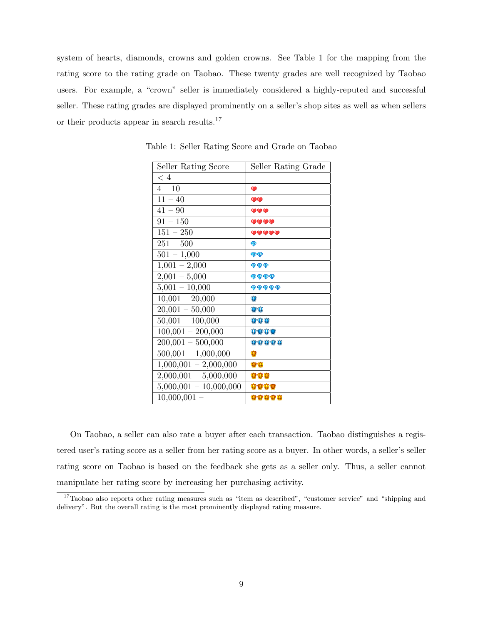system of hearts, diamonds, crowns and golden crowns. See Table [1](#page-8-0) for the mapping from the rating score to the rating grade on Taobao. These twenty grades are well recognized by Taobao users. For example, a "crown" seller is immediately considered a highly-reputed and successful seller. These rating grades are displayed prominently on a seller's shop sites as well as when sellers or their products appear in search results.<sup>17</sup>

<span id="page-8-0"></span>

| Seller Rating Score      | Seller Rating Grade                                                 |
|--------------------------|---------------------------------------------------------------------|
| < 4                      |                                                                     |
| $4 - 10$                 | O                                                                   |
| $11 - 40$                | <b>OO</b>                                                           |
| $41 - 90$                | <b>UUU</b>                                                          |
| $91 - 150$               | $\bullet\bullet\bullet\bullet$                                      |
| $151 - 250$              | <b></b>                                                             |
| $251 - 500$              | ⊕                                                                   |
| $\overline{501} - 1,000$ | $\boldsymbol{\circledast}$                                          |
| $1,001 - 2,000$          | ⊕⊕⊕                                                                 |
| $2,001 - 5,000$          | ⊕⊕⊕⊕                                                                |
| $5,001 - 10,000$         | <del>⊕⊕⊕⊕</del>                                                     |
| $10,001 - 20,000$        | Ŵ                                                                   |
| $20,001 - 50,000$        | $\mathbf{O} \mathbf{O}$                                             |
| $50,001 - 100,000$       | $\bf 0 0 0$                                                         |
| $100,001 - 200,000$      | $\boldsymbol{0}$ $\boldsymbol{0}$ $\boldsymbol{0}$ $\boldsymbol{0}$ |
| $200,001 - 500,000$      | 00000                                                               |
| $500,001 - 1,000,000$    | œ                                                                   |
| $1,000,001 - 2,000,000$  | Q Q                                                                 |
| $2,000,001 - 5,000,000$  | 000                                                                 |
| $5,000,001 - 10,000,000$ | 0000                                                                |
| $10,000,001 -$           | 0000O                                                               |

Table 1: Seller Rating Score and Grade on Taobao

On Taobao, a seller can also rate a buyer after each transaction. Taobao distinguishes a registered user's rating score as a seller from her rating score as a buyer. In other words, a seller's seller rating score on Taobao is based on the feedback she gets as a seller only. Thus, a seller cannot manipulate her rating score by increasing her purchasing activity.

<sup>&</sup>lt;sup>17</sup>Taobao also reports other rating measures such as "item as described", "customer service" and "shipping and delivery". But the overall rating is the most prominently displayed rating measure.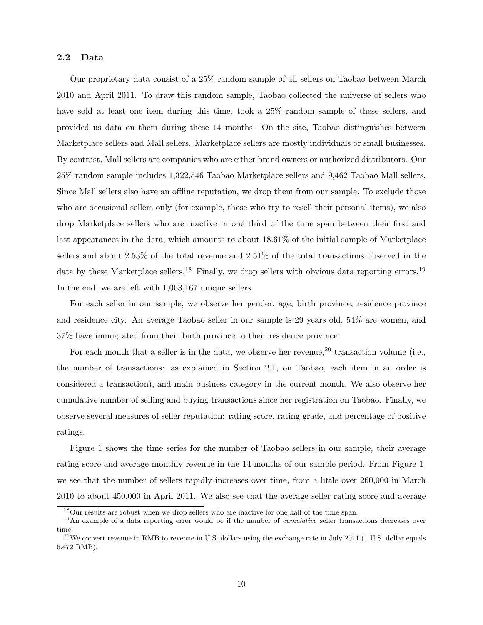#### 2.2 Data

Our proprietary data consist of a 25% random sample of all sellers on Taobao between March 2010 and April 2011. To draw this random sample, Taobao collected the universe of sellers who have sold at least one item during this time, took a 25% random sample of these sellers, and provided us data on them during these 14 months. On the site, Taobao distinguishes between Marketplace sellers and Mall sellers. Marketplace sellers are mostly individuals or small businesses. By contrast, Mall sellers are companies who are either brand owners or authorized distributors. Our 25% random sample includes 1,322,546 Taobao Marketplace sellers and 9,462 Taobao Mall sellers. Since Mall sellers also have an offline reputation, we drop them from our sample. To exclude those who are occasional sellers only (for example, those who try to resell their personal items), we also drop Marketplace sellers who are inactive in one third of the time span between their first and last appearances in the data, which amounts to about 18.61% of the initial sample of Marketplace sellers and about 2.53% of the total revenue and 2.51% of the total transactions observed in the data by these Marketplace sellers.<sup>18</sup> Finally, we drop sellers with obvious data reporting errors.<sup>19</sup> In the end, we are left with 1,063,167 unique sellers.

For each seller in our sample, we observe her gender, age, birth province, residence province and residence city. An average Taobao seller in our sample is 29 years old, 54% are women, and 37% have immigrated from their birth province to their residence province.

For each month that a seller is in the data, we observe her revenue,  $20$  transaction volume (i.e., the number of transactions: as explained in Section [2.1,](#page-6-1) on Taobao, each item in an order is considered a transaction), and main business category in the current month. We also observe her cumulative number of selling and buying transactions since her registration on Taobao. Finally, we observe several measures of seller reputation: rating score, rating grade, and percentage of positive ratings.

Figure [1](#page-10-1) shows the time series for the number of Taobao sellers in our sample, their average rating score and average monthly revenue in the 14 months of our sample period. From Figure [1,](#page-10-1) we see that the number of sellers rapidly increases over time, from a little over 260,000 in March 2010 to about 450,000 in April 2011. We also see that the average seller rating score and average

<sup>&</sup>lt;sup>18</sup>Our results are robust when we drop sellers who are inactive for one half of the time span.

 $19$ An example of a data reporting error would be if the number of *cumulative* seller transactions decreases over time.

<sup>&</sup>lt;sup>20</sup>We convert revenue in RMB to revenue in U.S. dollars using the exchange rate in July 2011 (1 U.S. dollar equals 6.472 RMB).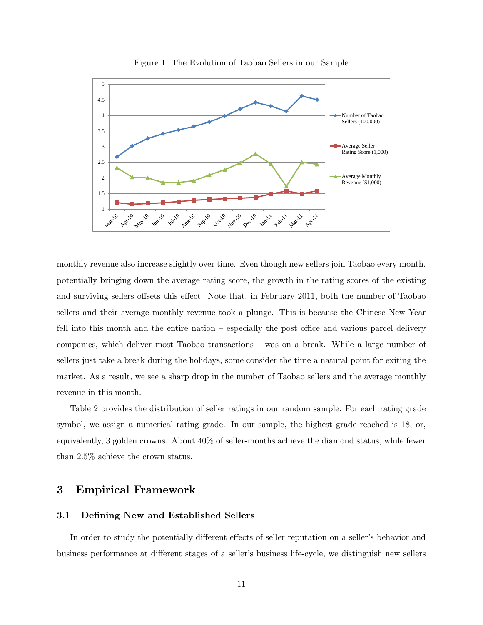

<span id="page-10-1"></span>Figure 1: The Evolution of Taobao Sellers in our Sample

monthly revenue also increase slightly over time. Even though new sellers join Taobao every month, potentially bringing down the average rating score, the growth in the rating scores of the existing and surviving sellers offsets this effect. Note that, in February 2011, both the number of Taobao sellers and their average monthly revenue took a plunge. This is because the Chinese New Year fell into this month and the entire nation – especially the post office and various parcel delivery companies, which deliver most Taobao transactions – was on a break. While a large number of sellers just take a break during the holidays, some consider the time a natural point for exiting the market. As a result, we see a sharp drop in the number of Taobao sellers and the average monthly revenue in this month.

Table [2](#page-11-0) provides the distribution of seller ratings in our random sample. For each rating grade symbol, we assign a numerical rating grade. In our sample, the highest grade reached is 18, or, equivalently, 3 golden crowns. About 40% of seller-months achieve the diamond status, while fewer than 2.5% achieve the crown status.

## <span id="page-10-0"></span>3 Empirical Framework

## 3.1 Defining New and Established Sellers

In order to study the potentially different effects of seller reputation on a seller's behavior and business performance at different stages of a seller's business life-cycle, we distinguish new sellers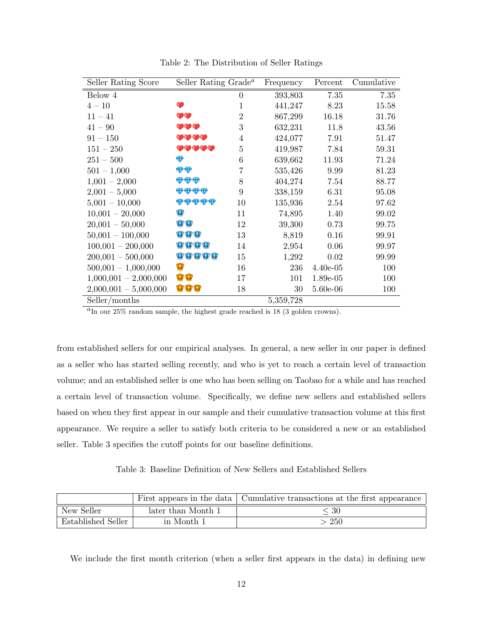| Seller Rating Score     | Seller Rating Grade <sup><math>a</math></sup>                                                                                                                                                                                                                                                                                                                                                                                                                       |                | Frequency | Percent    | Cumulative |
|-------------------------|---------------------------------------------------------------------------------------------------------------------------------------------------------------------------------------------------------------------------------------------------------------------------------------------------------------------------------------------------------------------------------------------------------------------------------------------------------------------|----------------|-----------|------------|------------|
| Below 4                 |                                                                                                                                                                                                                                                                                                                                                                                                                                                                     | $\theta$       | 393,803   | 7.35       | 7.35       |
| $4 - 10$                |                                                                                                                                                                                                                                                                                                                                                                                                                                                                     | $\mathbf{1}$   | 441,247   | 8.23       | 15.58      |
| $11 - 41$               | œœ                                                                                                                                                                                                                                                                                                                                                                                                                                                                  | $\overline{2}$ | 867,299   | 16.18      | 31.76      |
| $41 - 90$               | ♥♥♥                                                                                                                                                                                                                                                                                                                                                                                                                                                                 | 3              | 632,231   | 11.8       | 43.56      |
| $91 - 150$              | $\bullet\hspace{-1.4pt}\bullet\hspace{-1.4pt}\bullet\hspace{-1.4pt}\bullet$                                                                                                                                                                                                                                                                                                                                                                                         | 4              | 424,077   | 7.91       | 51.47      |
| $151 - 250$             | <b>www.</b>                                                                                                                                                                                                                                                                                                                                                                                                                                                         | 5              | 419,987   | 7.84       | 59.31      |
| $251 - 500$             | ₩                                                                                                                                                                                                                                                                                                                                                                                                                                                                   | 6              | 639,662   | 11.93      | 71.24      |
| $501 - 1,000$           | ⊕⊕                                                                                                                                                                                                                                                                                                                                                                                                                                                                  | 7              | 535,426   | 9.99       | 81.23      |
| $1,001 - 2,000$         | ⊕⊕⊕                                                                                                                                                                                                                                                                                                                                                                                                                                                                 | 8              | 404,274   | 7.54       | 88.77      |
| $2,001 - 5,000$         | <del>⊕⊕⊕⊕</del>                                                                                                                                                                                                                                                                                                                                                                                                                                                     | 9              | 338,159   | 6.31       | 95.08      |
| $5,001 - 10,000$        | $\begin{matrix} \bigcirc \hspace{-0.08cm} \bigcirc \hspace{-0.08cm} \bigcirc \hspace{-0.08cm} \bigcirc \hspace{-0.08cm} \bigcirc \hspace{-0.08cm} \bigcirc \hspace{-0.08cm} \bigcirc \hspace{-0.08cm} \bigcirc \hspace{-0.08cm} \bigcirc \hspace{-0.08cm} \bigcirc \hspace{-0.08cm} \bigcirc \hspace{-0.08cm} \bigcirc \hspace{-0.08cm} \bigcirc \hspace{-0.08cm} \bigcirc \hspace{-0.08cm} \bigcirc \hspace{-0.08cm} \bigcirc \hspace{-0.08cm} \bigcirc \hspace{-$ | 10             | 135,936   | 2.54       | 97.62      |
| $10,001 - 20,000$       | Ф                                                                                                                                                                                                                                                                                                                                                                                                                                                                   | 11             | 74,895    | 1.40       | 99.02      |
| $20,001 - 50,000$       | ФФ                                                                                                                                                                                                                                                                                                                                                                                                                                                                  | 12             | 39,300    | 0.73       | 99.75      |
| $50,001 - 100,000$      | ooo                                                                                                                                                                                                                                                                                                                                                                                                                                                                 | 13             | 8,819     | 0.16       | 99.91      |
| $100,001 - 200,000$     | 0000                                                                                                                                                                                                                                                                                                                                                                                                                                                                | 14             | 2,954     | 0.06       | 99.97      |
| $200,001 - 500,000$     | QQQQO                                                                                                                                                                                                                                                                                                                                                                                                                                                               | 15             | 1,292     | 0.02       | 99.99      |
| $500,001 - 1,000,000$   | œ                                                                                                                                                                                                                                                                                                                                                                                                                                                                   | 16             | 236       | $4.40e-05$ | 100        |
| $1,000,001 - 2,000,000$ | oo                                                                                                                                                                                                                                                                                                                                                                                                                                                                  | 17             | 101       | 1.89e-05   | 100        |
| $2,000,001 - 5,000,000$ | Q Q Q                                                                                                                                                                                                                                                                                                                                                                                                                                                               | 18             | 30        | 5.60e-06   | 100        |
| Seller/months           |                                                                                                                                                                                                                                                                                                                                                                                                                                                                     |                | 5,359,728 |            |            |

<span id="page-11-0"></span>Table 2: The Distribution of Seller Ratings

 $a_{\text{In our 25\% random sample, the highest grade reached is 18 (3 golden crowns).}$ 

from established sellers for our empirical analyses. In general, a new seller in our paper is defined as a seller who has started selling recently, and who is yet to reach a certain level of transaction volume; and an established seller is one who has been selling on Taobao for a while and has reached a certain level of transaction volume. Specifically, we define new sellers and established sellers based on when they first appear in our sample and their cumulative transaction volume at this first appearance. We require a seller to satisfy both criteria to be considered a new or an established seller. Table [3](#page-11-1) specifies the cutoff points for our baseline definitions.

<span id="page-11-1"></span>Table 3: Baseline Definition of New Sellers and Established Sellers

|                    |                    | First appears in the data   Cumulative transactions at the first appearance |
|--------------------|--------------------|-----------------------------------------------------------------------------|
| New Seller         | later than Month 1 | $\stackrel{<}{_{\sim}} 30$                                                  |
| Established Seller | in Month 1         | - 250                                                                       |

We include the first month criterion (when a seller first appears in the data) in defining new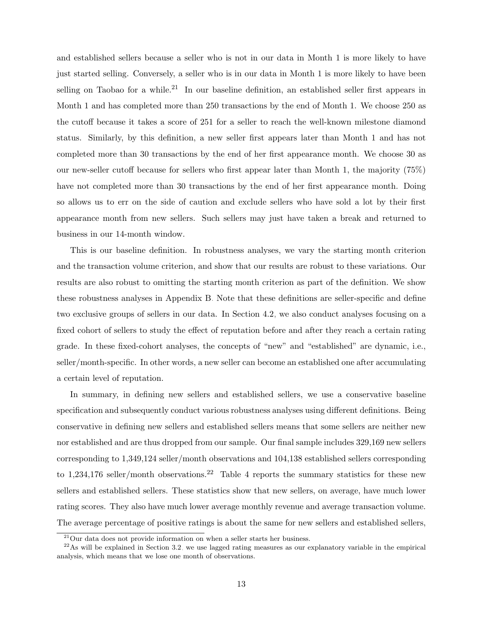and established sellers because a seller who is not in our data in Month 1 is more likely to have just started selling. Conversely, a seller who is in our data in Month 1 is more likely to have been selling on Taobao for a while.<sup>21</sup> In our baseline definition, an established seller first appears in Month 1 and has completed more than 250 transactions by the end of Month 1. We choose 250 as the cutoff because it takes a score of 251 for a seller to reach the well-known milestone diamond status. Similarly, by this definition, a new seller first appears later than Month 1 and has not completed more than 30 transactions by the end of her first appearance month. We choose 30 as our new-seller cutoff because for sellers who first appear later than Month 1, the majority (75%) have not completed more than 30 transactions by the end of her first appearance month. Doing so allows us to err on the side of caution and exclude sellers who have sold a lot by their first appearance month from new sellers. Such sellers may just have taken a break and returned to business in our 14-month window.

This is our baseline definition. In robustness analyses, we vary the starting month criterion and the transaction volume criterion, and show that our results are robust to these variations. Our results are also robust to omitting the starting month criterion as part of the definition. We show these robustness analyses in Appendix [B.](#page-28-0) Note that these definitions are seller-specific and define two exclusive groups of sellers in our data. In Section [4.2,](#page-20-0) we also conduct analyses focusing on a fixed cohort of sellers to study the effect of reputation before and after they reach a certain rating grade. In these fixed-cohort analyses, the concepts of "new" and "established" are dynamic, i.e., seller/month-specific. In other words, a new seller can become an established one after accumulating a certain level of reputation.

In summary, in defining new sellers and established sellers, we use a conservative baseline specification and subsequently conduct various robustness analyses using different definitions. Being conservative in defining new sellers and established sellers means that some sellers are neither new nor established and are thus dropped from our sample. Our final sample includes 329,169 new sellers corresponding to 1,349,124 seller/month observations and 104,138 established sellers corresponding to 1,234,176 seller/month observations.<sup>22</sup> Table [4](#page-13-0) reports the summary statistics for these new sellers and established sellers. These statistics show that new sellers, on average, have much lower rating scores. They also have much lower average monthly revenue and average transaction volume. The average percentage of positive ratings is about the same for new sellers and established sellers,

 $^{21}$ Our data does not provide information on when a seller starts her business.

 $22\text{As}$  will be explained in Section [3.2,](#page-13-1) we use lagged rating measures as our explanatory variable in the empirical analysis, which means that we lose one month of observations.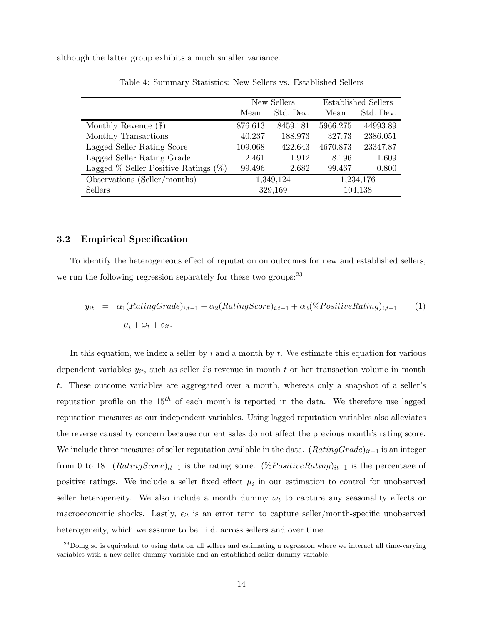although the latter group exhibits a much smaller variance.

|                                            | New Sellers |           | <b>Established Sellers</b> |           |
|--------------------------------------------|-------------|-----------|----------------------------|-----------|
|                                            | Mean        | Std. Dev. | Mean                       | Std. Dev. |
| Monthly Revenue $(\$)$                     | 876.613     | 8459.181  | 5966.275                   | 44993.89  |
| Monthly Transactions                       | 40.237      | 188.973   | 327.73                     | 2386.051  |
| Lagged Seller Rating Score                 | 109.068     | 422.643   | 4670.873                   | 23347.87  |
| Lagged Seller Rating Grade                 | 2.461       | 1.912     | 8.196                      | 1.609     |
| Lagged $\%$ Seller Positive Ratings $(\%)$ | 99.496      | 2.682     | 99.467                     | 0.800     |
| Observations (Seller/months)               | 1,349,124   |           | 1,234,176                  |           |
| Sellers                                    |             | 329,169   |                            | 104,138   |

<span id="page-13-0"></span>Table 4: Summary Statistics: New Sellers vs. Established Sellers

### <span id="page-13-1"></span>3.2 Empirical Specification

To identify the heterogeneous effect of reputation on outcomes for new and established sellers, we run the following regression separately for these two groups:<sup>23</sup>

<span id="page-13-2"></span>
$$
y_{it} = \alpha_1(RatingGrade)_{i,t-1} + \alpha_2(RatingScore)_{i,t-1} + \alpha_3(\%PositiveRating)_{i,t-1} \qquad (1)
$$

$$
+\mu_i + \omega_t + \varepsilon_{it}.
$$

In this equation, we index a seller by  $i$  and a month by  $t$ . We estimate this equation for various dependent variables  $y_{it}$ , such as seller i's revenue in month t or her transaction volume in month t. These outcome variables are aggregated over a month, whereas only a snapshot of a seller's reputation profile on the  $15<sup>th</sup>$  of each month is reported in the data. We therefore use lagged reputation measures as our independent variables. Using lagged reputation variables also alleviates the reverse causality concern because current sales do not affect the previous month's rating score. We include three measures of seller reputation available in the data.  $(RatingGrade)_{it-1}$  is an integer from 0 to 18.  $(RatingScore)_{it-1}$  is the rating score.  $(\%PositiveRating)_{it-1}$  is the percentage of positive ratings. We include a seller fixed effect  $\mu_i$  in our estimation to control for unobserved seller heterogeneity. We also include a month dummy  $\omega_t$  to capture any seasonality effects or macroeconomic shocks. Lastly,  $\epsilon_{it}$  is an error term to capture seller/month-specific unobserved heterogeneity, which we assume to be i.i.d. across sellers and over time.

 $^{23}$ Doing so is equivalent to using data on all sellers and estimating a regression where we interact all time-varying variables with a new-seller dummy variable and an established-seller dummy variable.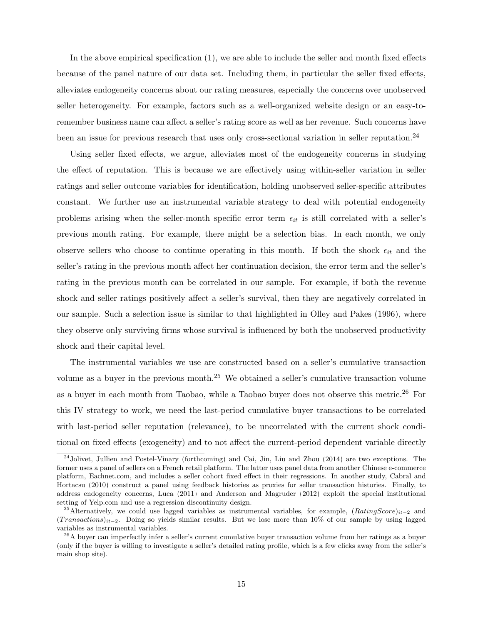In the above empirical specification  $(1)$ , we are able to include the seller and month fixed effects because of the panel nature of our data set. Including them, in particular the seller fixed effects, alleviates endogeneity concerns about our rating measures, especially the concerns over unobserved seller heterogeneity. For example, factors such as a well-organized website design or an easy-toremember business name can affect a seller's rating score as well as her revenue. Such concerns have been an issue for previous research that uses only cross-sectional variation in seller reputation.<sup>24</sup>

Using seller fixed effects, we argue, alleviates most of the endogeneity concerns in studying the effect of reputation. This is because we are effectively using within-seller variation in seller ratings and seller outcome variables for identification, holding unobserved seller-specific attributes constant. We further use an instrumental variable strategy to deal with potential endogeneity problems arising when the seller-month specific error term  $\epsilon_{it}$  is still correlated with a seller's previous month rating. For example, there might be a selection bias. In each month, we only observe sellers who choose to continue operating in this month. If both the shock  $\epsilon_{it}$  and the seller's rating in the previous month affect her continuation decision, the error term and the seller's rating in the previous month can be correlated in our sample. For example, if both the revenue shock and seller ratings positively affect a seller's survival, then they are negatively correlated in our sample. Such a selection issue is similar to that highlighted in [Olley and Pakes](#page-27-11) [\(1996\)](#page-27-11), where they observe only surviving firms whose survival is influenced by both the unobserved productivity shock and their capital level.

The instrumental variables we use are constructed based on a seller's cumulative transaction volume as a buyer in the previous month.<sup>25</sup> We obtained a seller's cumulative transaction volume as a buyer in each month from Taobao, while a Taobao buyer does not observe this metric.<sup>26</sup> For this IV strategy to work, we need the last-period cumulative buyer transactions to be correlated with last-period seller reputation (relevance), to be uncorrelated with the current shock conditional on fixed effects (exogeneity) and to not affect the current-period dependent variable directly

<sup>&</sup>lt;sup>24</sup>[Jolivet, Jullien and Postel-Vinary](#page-27-5) [\(forthcoming\)](#page-27-5) and [Cai, Jin, Liu and Zhou](#page-26-3) [\(2014\)](#page-26-3) are two exceptions. The former uses a panel of sellers on a French retail platform. The latter uses panel data from another Chinese e-commerce platform, Eachnet.com, and includes a seller cohort fixed effect in their regressions. In another study, [Cabral and](#page-25-1) [Hortacsu](#page-25-1) [\(2010\)](#page-25-1) construct a panel using feedback histories as proxies for seller transaction histories. Finally, to address endogeneity concerns, [Luca](#page-27-4) [\(2011\)](#page-27-4) and [Anderson and Magruder](#page-25-2) [\(2012\)](#page-25-2) exploit the special institutional setting of Yelp.com and use a regression discontinuity design.

<sup>&</sup>lt;sup>25</sup>Alternatively, we could use lagged variables as instrumental variables, for example,  $(RatingScore)_{it-2}$  and  $(Transactions)_{it-2}$ . Doing so yields similar results. But we lose more than 10% of our sample by using lagged variables as instrumental variables.

 $^{26}$ A buyer can imperfectly infer a seller's current cumulative buyer transaction volume from her ratings as a buyer (only if the buyer is willing to investigate a seller's detailed rating profile, which is a few clicks away from the seller's main shop site).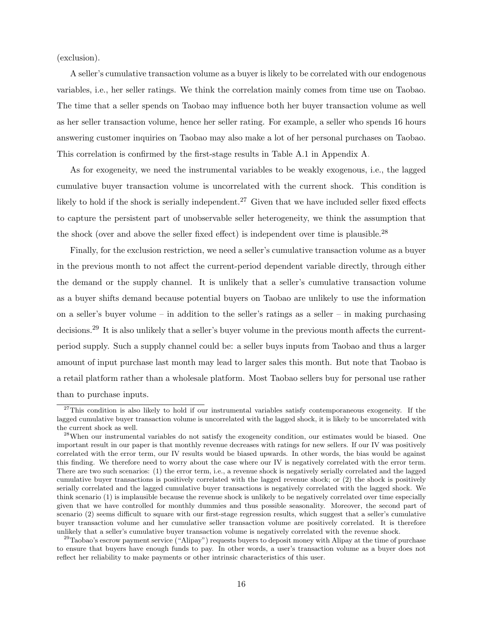(exclusion).

A seller's cumulative transaction volume as a buyer is likely to be correlated with our endogenous variables, i.e., her seller ratings. We think the correlation mainly comes from time use on Taobao. The time that a seller spends on Taobao may influence both her buyer transaction volume as well as her seller transaction volume, hence her seller rating. For example, a seller who spends 16 hours answering customer inquiries on Taobao may also make a lot of her personal purchases on Taobao. This correlation is confirmed by the first-stage results in Table [A.1](#page-8-0) in Appendix [A.](#page-28-1)

As for exogeneity, we need the instrumental variables to be weakly exogenous, i.e., the lagged cumulative buyer transaction volume is uncorrelated with the current shock. This condition is likely to hold if the shock is serially independent.<sup>27</sup> Given that we have included seller fixed effects to capture the persistent part of unobservable seller heterogeneity, we think the assumption that the shock (over and above the seller fixed effect) is independent over time is plausible.<sup>28</sup>

Finally, for the exclusion restriction, we need a seller's cumulative transaction volume as a buyer in the previous month to not affect the current-period dependent variable directly, through either the demand or the supply channel. It is unlikely that a seller's cumulative transaction volume as a buyer shifts demand because potential buyers on Taobao are unlikely to use the information on a seller's buyer volume – in addition to the seller's ratings as a seller – in making purchasing decisions.<sup>29</sup> It is also unlikely that a seller's buyer volume in the previous month affects the currentperiod supply. Such a supply channel could be: a seller buys inputs from Taobao and thus a larger amount of input purchase last month may lead to larger sales this month. But note that Taobao is a retail platform rather than a wholesale platform. Most Taobao sellers buy for personal use rather than to purchase inputs.

 $^{29}$ Taobao's escrow payment service ("Alipay") requests buyers to deposit money with Alipay at the time of purchase to ensure that buyers have enough funds to pay. In other words, a user's transaction volume as a buyer does not reflect her reliability to make payments or other intrinsic characteristics of this user.

 $27$ This condition is also likely to hold if our instrumental variables satisfy contemporaneous exogeneity. If the lagged cumulative buyer transaction volume is uncorrelated with the lagged shock, it is likely to be uncorrelated with the current shock as well.

<sup>&</sup>lt;sup>28</sup>When our instrumental variables do not satisfy the exogeneity condition, our estimates would be biased. One important result in our paper is that monthly revenue decreases with ratings for new sellers. If our IV was positively correlated with the error term, our IV results would be biased upwards. In other words, the bias would be against this finding. We therefore need to worry about the case where our IV is negatively correlated with the error term. There are two such scenarios: (1) the error term, i.e., a revenue shock is negatively serially correlated and the lagged cumulative buyer transactions is positively correlated with the lagged revenue shock; or (2) the shock is positively serially correlated and the lagged cumulative buyer transactions is negatively correlated with the lagged shock. We think scenario (1) is implausible because the revenue shock is unlikely to be negatively correlated over time especially given that we have controlled for monthly dummies and thus possible seasonality. Moreover, the second part of scenario (2) seems difficult to square with our first-stage regression results, which suggest that a seller's cumulative buyer transaction volume and her cumulative seller transaction volume are positively correlated. It is therefore unlikely that a seller's cumulative buyer transaction volume is negatively correlated with the revenue shock.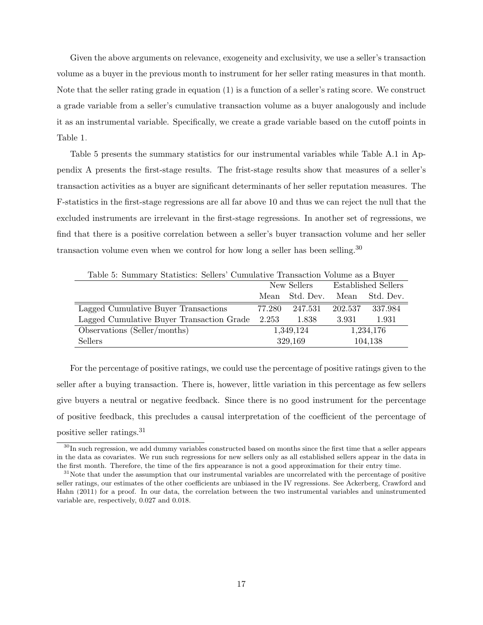Given the above arguments on relevance, exogeneity and exclusivity, we use a seller's transaction volume as a buyer in the previous month to instrument for her seller rating measures in that month. Note that the seller rating grade in equation [\(1\)](#page-13-2) is a function of a seller's rating score. We construct a grade variable from a seller's cumulative transaction volume as a buyer analogously and include it as an instrumental variable. Specifically, we create a grade variable based on the cutoff points in Table [1.](#page-8-0)

Table [5](#page-16-0) presents the summary statistics for our instrumental variables while Table [A.1](#page-8-0) in Appendix [A](#page-28-1) presents the first-stage results. The frist-stage results show that measures of a seller's transaction activities as a buyer are significant determinants of her seller reputation measures. The F-statistics in the first-stage regressions are all far above 10 and thus we can reject the null that the excluded instruments are irrelevant in the first-stage regressions. In another set of regressions, we find that there is a positive correlation between a seller's buyer transaction volume and her seller transaction volume even when we control for how long a seller has been selling.<sup>30</sup>

| Table 0. Duminary Dianstres. Deficts Cumulative Hansaction volume as a Duyer |           |                |           |                            |  |
|------------------------------------------------------------------------------|-----------|----------------|-----------|----------------------------|--|
|                                                                              |           | New Sellers    |           | <b>Established Sellers</b> |  |
|                                                                              |           | Mean Std. Dev. | Mean      | Std. Dev.                  |  |
| Lagged Cumulative Buyer Transactions                                         | 77.280    | 247.531        | 202.537   | 337.984                    |  |
| Lagged Cumulative Buyer Transaction Grade                                    | 2.253     | 1.838          | 3.931     | 1.931                      |  |
| Observations (Seller/months)                                                 | 1,349,124 |                | 1,234,176 |                            |  |
| Sellers                                                                      |           | 329,169        |           | 104,138                    |  |

<span id="page-16-0"></span>Table 5: Summary Statistics: Sellers' Cumulative Transaction Volume as a Buyer

For the percentage of positive ratings, we could use the percentage of positive ratings given to the seller after a buying transaction. There is, however, little variation in this percentage as few sellers give buyers a neutral or negative feedback. Since there is no good instrument for the percentage of positive feedback, this precludes a causal interpretation of the coefficient of the percentage of positive seller ratings.<sup>31</sup>

 $30$ In such regression, we add dummy variables constructed based on months since the first time that a seller appears in the data as covariates. We run such regressions for new sellers only as all established sellers appear in the data in the first month. Therefore, the time of the firs appearance is not a good approximation for their entry time.

<sup>&</sup>lt;sup>31</sup>Note that under the assumption that our instrumental variables are uncorrelated with the percentage of positive seller ratings, our estimates of the other coefficients are unbiased in the IV regressions. See [Ackerberg, Crawford and](#page-25-5) [Hahn](#page-25-5) [\(2011\)](#page-25-5) for a proof. In our data, the correlation between the two instrumental variables and uninstrumented variable are, respectively, 0.027 and 0.018.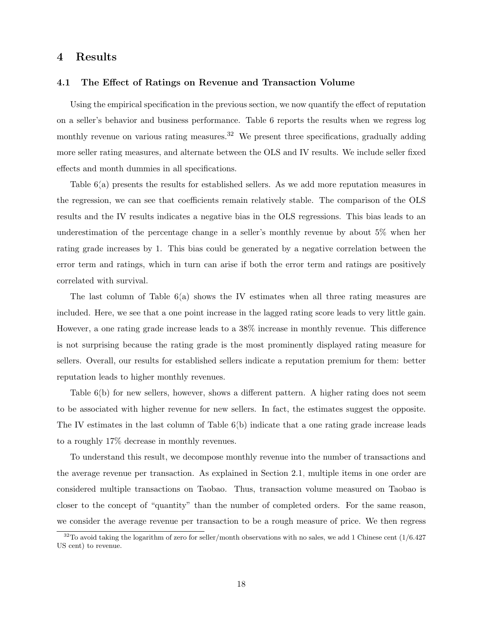## <span id="page-17-0"></span>4 Results

#### <span id="page-17-1"></span>4.1 The Effect of Ratings on Revenue and Transaction Volume

Using the empirical specification in the previous section, we now quantify the effect of reputation on a seller's behavior and business performance. Table [6](#page-18-0) reports the results when we regress log monthly revenue on various rating measures.<sup>32</sup> We present three specifications, gradually adding more seller rating measures, and alternate between the OLS and IV results. We include seller fixed effects and month dummies in all specifications.

Table [6\(](#page-18-0)a) presents the results for established sellers. As we add more reputation measures in the regression, we can see that coefficients remain relatively stable. The comparison of the OLS results and the IV results indicates a negative bias in the OLS regressions. This bias leads to an underestimation of the percentage change in a seller's monthly revenue by about 5% when her rating grade increases by 1. This bias could be generated by a negative correlation between the error term and ratings, which in turn can arise if both the error term and ratings are positively correlated with survival.

The last column of Table  $6(a)$  shows the IV estimates when all three rating measures are included. Here, we see that a one point increase in the lagged rating score leads to very little gain. However, a one rating grade increase leads to a 38% increase in monthly revenue. This difference is not surprising because the rating grade is the most prominently displayed rating measure for sellers. Overall, our results for established sellers indicate a reputation premium for them: better reputation leads to higher monthly revenues.

Table [6\(](#page-18-0)b) for new sellers, however, shows a different pattern. A higher rating does not seem to be associated with higher revenue for new sellers. In fact, the estimates suggest the opposite. The IV estimates in the last column of Table [6\(](#page-18-0)b) indicate that a one rating grade increase leads to a roughly 17% decrease in monthly revenues.

To understand this result, we decompose monthly revenue into the number of transactions and the average revenue per transaction. As explained in Section [2.1,](#page-6-1) multiple items in one order are considered multiple transactions on Taobao. Thus, transaction volume measured on Taobao is closer to the concept of "quantity" than the number of completed orders. For the same reason, we consider the average revenue per transaction to be a rough measure of price. We then regress

 $32$ To avoid taking the logarithm of zero for seller/month observations with no sales, we add 1 Chinese cent (1/6.427) US cent) to revenue.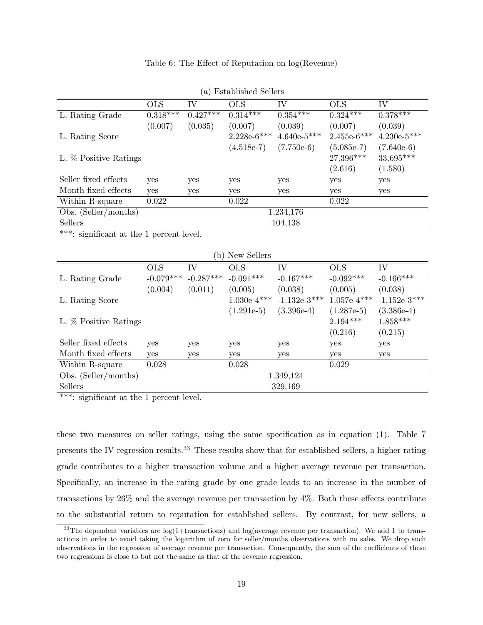<span id="page-18-0"></span>

|  |  |  |  | Table 6: The Effect of Reputation on log(Revenue) |  |  |  |  |
|--|--|--|--|---------------------------------------------------|--|--|--|--|
|--|--|--|--|---------------------------------------------------|--|--|--|--|

| $\alpha$ , $\Delta$ becontinued behiving |            |            |               |                  |               |               |
|------------------------------------------|------------|------------|---------------|------------------|---------------|---------------|
|                                          | <b>OLS</b> | IV         | <b>OLS</b>    | IV               | <b>OLS</b>    | IV            |
| L. Rating Grade                          | $0.318***$ | $0.427***$ | $0.314***$    | $0.354***$       | $0.324***$    | $0.378***$    |
|                                          | (0.007)    | (0.035)    | (0.007)       | (0.039)          | (0.007)       | (0.039)       |
| L. Rating Score                          |            |            | $2.228e-6***$ | $4.640e^{-5***}$ | $2.455e-6***$ | $4.230e-5***$ |
|                                          |            |            | $(4.518e-7)$  | $(7.750e-6)$     | $(5.085e-7)$  | $(7.640e-6)$  |
| L. % Positive Ratings                    |            |            |               |                  | 27.396***     | 33.695***     |
|                                          |            |            |               |                  | (2.616)       | (1.580)       |
| Seller fixed effects                     | yes        | yes        | yes           | yes              | yes           | yes           |
| Month fixed effects                      | yes        | yes        | yes           | yes              | yes           | yes           |
| Within R-square                          | 0.022      |            | 0.022         |                  | 0.022         |               |
| Obs. $(Seller/months)$                   |            |            |               | 1,234,176        |               |               |
| Sellers                                  |            |            |               | 104,138          |               |               |

|  |  | (a) Established Sellers |  |  |
|--|--|-------------------------|--|--|
|--|--|-------------------------|--|--|

\*\*\*: significant at the 1 percent level.

| (b) New Sellers        |             |             |               |                |               |                |
|------------------------|-------------|-------------|---------------|----------------|---------------|----------------|
|                        | <b>OLS</b>  | <b>IV</b>   | <b>OLS</b>    | IV             | <b>OLS</b>    | IV             |
| L. Rating Grade        | $-0.079***$ | $-0.287***$ | $-0.091***$   | $-0.167***$    | $-0.092***$   | $-0.166***$    |
|                        | (0.004)     | (0.011)     | (0.005)       | (0.038)        | (0.005)       | (0.038)        |
| L. Rating Score        |             |             | $1.030e-4***$ | $-1.132e-3***$ | $1.057e-4***$ | $-1.152e-3***$ |
|                        |             |             | $(1.291e-5)$  | $(3.396e-4)$   | $(1.287e-5)$  | $(3.386e-4)$   |
| L. % Positive Ratings  |             |             |               |                | $2.194***$    | $1.858***$     |
|                        |             |             |               |                | (0.216)       | (0.215)        |
| Seller fixed effects   | yes         | yes         | yes           | yes            | yes           | yes            |
| Month fixed effects    | yes         | yes         | yes           | yes            | yes           | yes            |
| Within R-square        | 0.028       |             | 0.028         |                | 0.029         |                |
| Obs. $(Seller/months)$ |             |             |               | 1,349,124      |               |                |
| Sellers                | 329,169     |             |               |                |               |                |

\*\*\*: significant at the 1 percent level.

these two measures on seller ratings, using the same specification as in equation [\(1\)](#page-13-2). Table [7](#page-19-0) presents the IV regression results.<sup>33</sup> These results show that for established sellers, a higher rating grade contributes to a higher transaction volume and a higher average revenue per transaction. Specifically, an increase in the rating grade by one grade leads to an increase in the number of transactions by 26% and the average revenue per transaction by 4%. Both these effects contribute to the substantial return to reputation for established sellers. By contrast, for new sellers, a

 $33$ The dependent variables are  $log(1+transactions)$  and  $log(average$  revenue per transaction). We add 1 to transactions in order to avoid taking the logarithm of zero for seller/months observations with no sales. We drop such observations in the regression of average revenue per transaction. Consequently, the sum of the coefficients of these two regressions is close to but not the same as that of the revenue regression.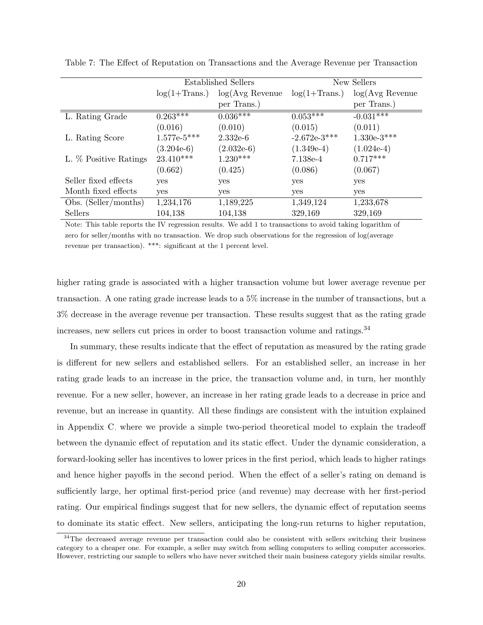|                        |                                      | Established Sellers |                 | New Sellers       |
|------------------------|--------------------------------------|---------------------|-----------------|-------------------|
|                        | $log(1+Trans.)$<br>$log(Avg$ Revenue |                     | $log(1+Trans.)$ | $log(Avg$ Revenue |
|                        |                                      | per Trans.)         |                 | per Trans.)       |
| L. Rating Grade        | $0.263***$                           | $0.036***$          | $0.053***$      | $-0.031***$       |
|                        | (0.016)                              | (0.010)             | (0.015)         | (0.011)           |
| L. Rating Score        | $1.577e-5***$                        | $2.332e-6$          | $-2.672e-3***$  | $1.330e-3***$     |
|                        | $(3.204e-6)$                         | $(2.032e-6)$        | $(1.349e-4)$    | $(1.024e-4)$      |
| L. % Positive Ratings  | $23.410***$                          | $1.230***$          | 7.138e-4        | $0.717***$        |
|                        | (0.662)                              | (0.425)             | (0.086)         | (0.067)           |
| Seller fixed effects   | yes                                  | yes                 | yes             | yes               |
| Month fixed effects    | yes                                  | yes                 | yes             | yes               |
| Obs. $(Seller/months)$ | 1,234,176                            | 1,189,225           | 1,349,124       | 1,233,678         |
| <b>Sellers</b>         | 104,138                              | 104,138             | 329,169         | 329,169           |
|                        |                                      |                     |                 |                   |

<span id="page-19-0"></span>Table 7: The Effect of Reputation on Transactions and the Average Revenue per Transaction

Note: This table reports the IV regression results. We add 1 to transactions to avoid taking logarithm of zero for seller/months with no transaction. We drop such observations for the regression of log(average revenue per transaction). \*\*\*: significant at the 1 percent level.

higher rating grade is associated with a higher transaction volume but lower average revenue per transaction. A one rating grade increase leads to a 5% increase in the number of transactions, but a 3% decrease in the average revenue per transaction. These results suggest that as the rating grade increases, new sellers cut prices in order to boost transaction volume and ratings.<sup>34</sup>

In summary, these results indicate that the effect of reputation as measured by the rating grade is different for new sellers and established sellers. For an established seller, an increase in her rating grade leads to an increase in the price, the transaction volume and, in turn, her monthly revenue. For a new seller, however, an increase in her rating grade leads to a decrease in price and revenue, but an increase in quantity. All these findings are consistent with the intuition explained in Appendix [C,](#page-30-0) where we provide a simple two-period theoretical model to explain the tradeoff between the dynamic effect of reputation and its static effect. Under the dynamic consideration, a forward-looking seller has incentives to lower prices in the first period, which leads to higher ratings and hence higher payoffs in the second period. When the effect of a seller's rating on demand is sufficiently large, her optimal first-period price (and revenue) may decrease with her first-period rating. Our empirical findings suggest that for new sellers, the dynamic effect of reputation seems to dominate its static effect. New sellers, anticipating the long-run returns to higher reputation,

<sup>&</sup>lt;sup>34</sup>The decreased average revenue per transaction could also be consistent with sellers switching their business category to a cheaper one. For example, a seller may switch from selling computers to selling computer accessories. However, restricting our sample to sellers who have never switched their main business category yields similar results.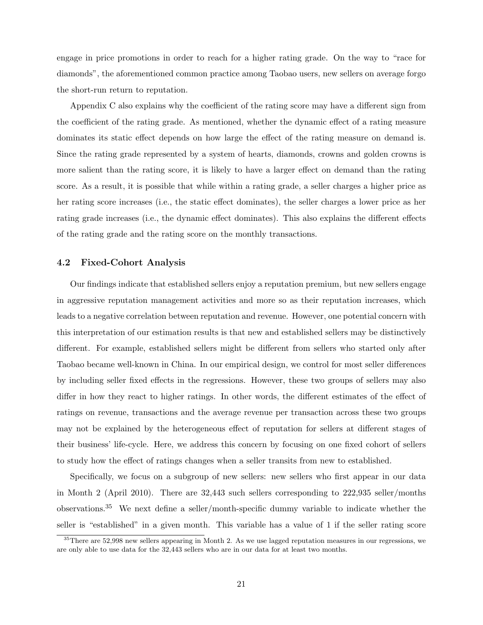engage in price promotions in order to reach for a higher rating grade. On the way to "race for diamonds", the aforementioned common practice among Taobao users, new sellers on average forgo the short-run return to reputation.

Appendix [C](#page-30-0) also explains why the coefficient of the rating score may have a different sign from the coefficient of the rating grade. As mentioned, whether the dynamic effect of a rating measure dominates its static effect depends on how large the effect of the rating measure on demand is. Since the rating grade represented by a system of hearts, diamonds, crowns and golden crowns is more salient than the rating score, it is likely to have a larger effect on demand than the rating score. As a result, it is possible that while within a rating grade, a seller charges a higher price as her rating score increases (i.e., the static effect dominates), the seller charges a lower price as her rating grade increases (i.e., the dynamic effect dominates). This also explains the different effects of the rating grade and the rating score on the monthly transactions.

#### <span id="page-20-0"></span>4.2 Fixed-Cohort Analysis

Our findings indicate that established sellers enjoy a reputation premium, but new sellers engage in aggressive reputation management activities and more so as their reputation increases, which leads to a negative correlation between reputation and revenue. However, one potential concern with this interpretation of our estimation results is that new and established sellers may be distinctively different. For example, established sellers might be different from sellers who started only after Taobao became well-known in China. In our empirical design, we control for most seller differences by including seller fixed effects in the regressions. However, these two groups of sellers may also differ in how they react to higher ratings. In other words, the different estimates of the effect of ratings on revenue, transactions and the average revenue per transaction across these two groups may not be explained by the heterogeneous effect of reputation for sellers at different stages of their business' life-cycle. Here, we address this concern by focusing on one fixed cohort of sellers to study how the effect of ratings changes when a seller transits from new to established.

Specifically, we focus on a subgroup of new sellers: new sellers who first appear in our data in Month 2 (April 2010). There are 32,443 such sellers corresponding to 222,935 seller/months observations.<sup>35</sup> We next define a seller/month-specific dummy variable to indicate whether the seller is "established" in a given month. This variable has a value of 1 if the seller rating score

 $35$ There are 52,998 new sellers appearing in Month 2. As we use lagged reputation measures in our regressions, we are only able to use data for the 32,443 sellers who are in our data for at least two months.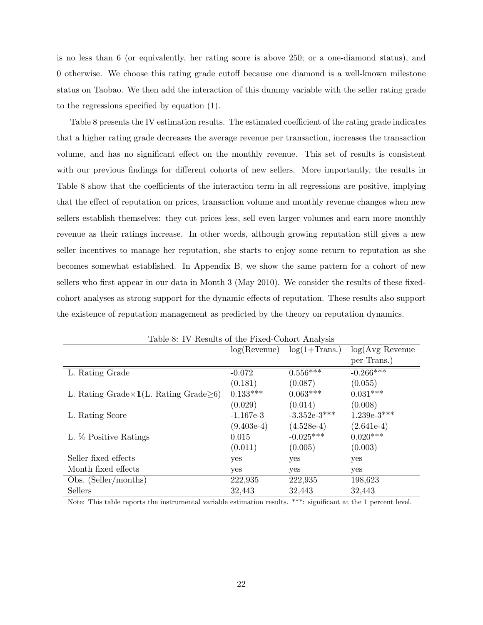is no less than 6 (or equivalently, her rating score is above 250; or a one-diamond status), and 0 otherwise. We choose this rating grade cutoff because one diamond is a well-known milestone status on Taobao. We then add the interaction of this dummy variable with the seller rating grade to the regressions specified by equation [\(1\)](#page-13-2).

Table [8](#page-21-0) presents the IV estimation results. The estimated coefficient of the rating grade indicates that a higher rating grade decreases the average revenue per transaction, increases the transaction volume, and has no significant effect on the monthly revenue. This set of results is consistent with our previous findings for different cohorts of new sellers. More importantly, the results in Table [8](#page-21-0) show that the coefficients of the interaction term in all regressions are positive, implying that the effect of reputation on prices, transaction volume and monthly revenue changes when new sellers establish themselves: they cut prices less, sell even larger volumes and earn more monthly revenue as their ratings increase. In other words, although growing reputation still gives a new seller incentives to manage her reputation, she starts to enjoy some return to reputation as she becomes somewhat established. In Appendix [B,](#page-28-0) we show the same pattern for a cohort of new sellers who first appear in our data in Month 3 (May 2010). We consider the results of these fixedcohort analyses as strong support for the dynamic effects of reputation. These results also support the existence of reputation management as predicted by the theory on reputation dynamics.

| Table 8: IV Results of the Fixed-Conort Analysis     |                    |                 |                   |
|------------------------------------------------------|--------------------|-----------------|-------------------|
|                                                      | $log($ Revenue $)$ | $log(1+Trans.)$ | $log(Avg$ Revenue |
|                                                      |                    |                 | per Trans.)       |
| L. Rating Grade                                      | $-0.072$           | $0.556***$      | $-0.266***$       |
|                                                      | (0.181)            | (0.087)         | (0.055)           |
| L. Rating Grade $\times$ 1(L. Rating Grade $\geq$ 6) | $0.133***$         | $0.063***$      | $0.031***$        |
|                                                      | (0.029)            | (0.014)         | (0.008)           |
| L. Rating Score                                      | $-1.167e-3$        | $-3.352e-3***$  | $1.239e-3***$     |
|                                                      | $(9.403e-4)$       | $(4.528e-4)$    | $(2.641e-4)$      |
| L. % Positive Ratings                                | 0.015              | $-0.025***$     | $0.020***$        |
|                                                      | (0.011)            | (0.005)         | (0.003)           |
| Seller fixed effects                                 | yes                | yes             | yes               |
| Month fixed effects                                  | yes                | yes             | yes               |
| Obs. $(Seller/months)$                               | 222,935            | 222,935         | 198,623           |
| Sellers                                              | 32,443             | 32,443          | 32,443            |

<span id="page-21-0"></span>Table 8: IV Results of the Fixed-Cohort Analysis

Note: This table reports the instrumental variable estimation results. \*\*\*: significant at the 1 percent level.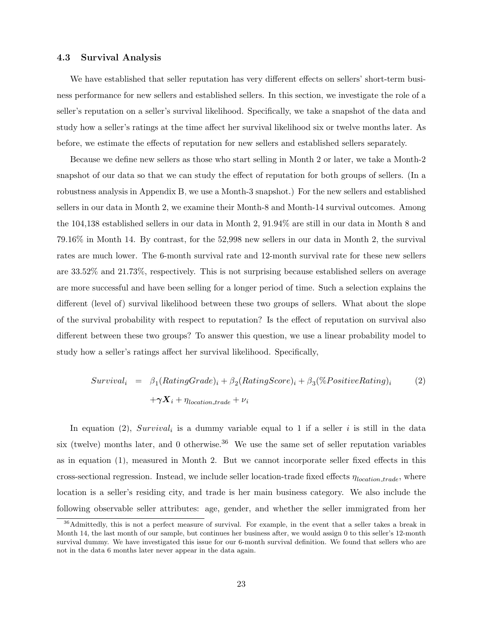#### 4.3 Survival Analysis

We have established that seller reputation has very different effects on sellers' short-term business performance for new sellers and established sellers. In this section, we investigate the role of a seller's reputation on a seller's survival likelihood. Specifically, we take a snapshot of the data and study how a seller's ratings at the time affect her survival likelihood six or twelve months later. As before, we estimate the effects of reputation for new sellers and established sellers separately.

Because we define new sellers as those who start selling in Month 2 or later, we take a Month-2 snapshot of our data so that we can study the effect of reputation for both groups of sellers. (In a robustness analysis in Appendix [B,](#page-28-0) we use a Month-3 snapshot.) For the new sellers and established sellers in our data in Month 2, we examine their Month-8 and Month-14 survival outcomes. Among the 104,138 established sellers in our data in Month 2, 91.94% are still in our data in Month 8 and 79.16% in Month 14. By contrast, for the 52,998 new sellers in our data in Month 2, the survival rates are much lower. The 6-month survival rate and 12-month survival rate for these new sellers are 33.52% and 21.73%, respectively. This is not surprising because established sellers on average are more successful and have been selling for a longer period of time. Such a selection explains the different (level of) survival likelihood between these two groups of sellers. What about the slope of the survival probability with respect to reputation? Is the effect of reputation on survival also different between these two groups? To answer this question, we use a linear probability model to study how a seller's ratings affect her survival likelihood. Specifically,

<span id="page-22-0"></span>
$$
Survival_i = \beta_1(RatingGrade)_i + \beta_2(RatingScore)_i + \beta_3(\%PositiveRating)_i \qquad (2)
$$

$$
+\gamma \mathbf{X}_i + \eta_{location\_trade} + \nu_i
$$

In equation [\(2\)](#page-22-0),  $Survival_i$  is a dummy variable equal to 1 if a seller i is still in the data six (twelve) months later, and 0 otherwise.<sup>36</sup> We use the same set of seller reputation variables as in equation [\(1\)](#page-13-2), measured in Month 2. But we cannot incorporate seller fixed effects in this cross-sectional regression. Instead, we include seller location-trade fixed effects  $\eta_{location\_trade}$ , where location is a seller's residing city, and trade is her main business category. We also include the following observable seller attributes: age, gender, and whether the seller immigrated from her

<sup>36</sup>Admittedly, this is not a perfect measure of survival. For example, in the event that a seller takes a break in Month 14, the last month of our sample, but continues her business after, we would assign 0 to this seller's 12-month survival dummy. We have investigated this issue for our 6-month survival definition. We found that sellers who are not in the data 6 months later never appear in the data again.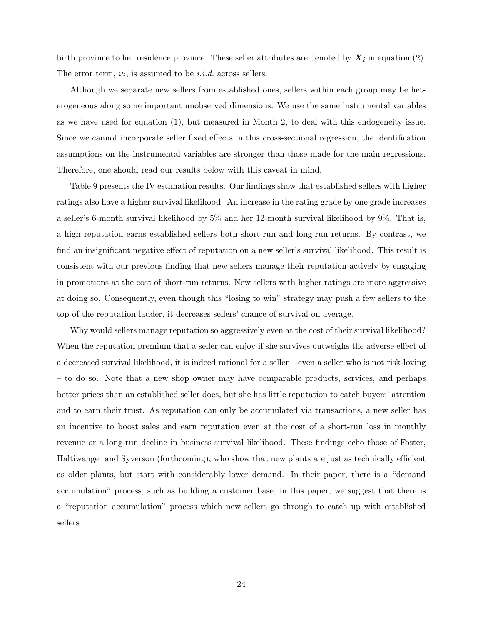birth province to her residence province. These seller attributes are denoted by  $\boldsymbol{X}_i$  in equation [\(2\)](#page-22-0). The error term,  $\nu_i$ , is assumed to be *i.i.d.* across sellers.

Although we separate new sellers from established ones, sellers within each group may be heterogeneous along some important unobserved dimensions. We use the same instrumental variables as we have used for equation [\(1\)](#page-13-2), but measured in Month 2, to deal with this endogeneity issue. Since we cannot incorporate seller fixed effects in this cross-sectional regression, the identification assumptions on the instrumental variables are stronger than those made for the main regressions. Therefore, one should read our results below with this caveat in mind.

Table [9](#page-24-1) presents the IV estimation results. Our findings show that established sellers with higher ratings also have a higher survival likelihood. An increase in the rating grade by one grade increases a seller's 6-month survival likelihood by 5% and her 12-month survival likelihood by 9%. That is, a high reputation earns established sellers both short-run and long-run returns. By contrast, we find an insignificant negative effect of reputation on a new seller's survival likelihood. This result is consistent with our previous finding that new sellers manage their reputation actively by engaging in promotions at the cost of short-run returns. New sellers with higher ratings are more aggressive at doing so. Consequently, even though this "losing to win" strategy may push a few sellers to the top of the reputation ladder, it decreases sellers' chance of survival on average.

Why would sellers manage reputation so aggressively even at the cost of their survival likelihood? When the reputation premium that a seller can enjoy if she survives outweighs the adverse effect of a decreased survival likelihood, it is indeed rational for a seller – even a seller who is not risk-loving – to do so. Note that a new shop owner may have comparable products, services, and perhaps better prices than an established seller does, but she has little reputation to catch buyers' attention and to earn their trust. As reputation can only be accumulated via transactions, a new seller has an incentive to boost sales and earn reputation even at the cost of a short-run loss in monthly revenue or a long-run decline in business survival likelihood. These findings echo those of [Foster,](#page-26-10) [Haltiwanger and Syverson](#page-26-10) [\(forthcoming\)](#page-26-10), who show that new plants are just as technically efficient as older plants, but start with considerably lower demand. In their paper, there is a "demand accumulation" process, such as building a customer base; in this paper, we suggest that there is a "reputation accumulation" process which new sellers go through to catch up with established sellers.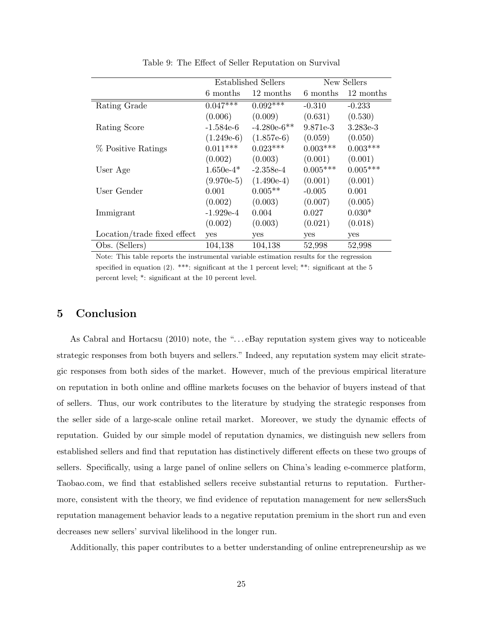|                             |              | <b>Established Sellers</b> | New Sellers |            |  |
|-----------------------------|--------------|----------------------------|-------------|------------|--|
|                             | 6 months     | 12 months                  | 6 months    | 12 months  |  |
| Rating Grade                | $0.047***$   | $0.092***$                 | $-0.310$    | $-0.233$   |  |
|                             | (0.006)      | (0.009)                    | (0.631)     | (0.530)    |  |
| Rating Score                | $-1.584e-6$  | $-4.280e-6**$              | 9.871e-3    | 3.283e-3   |  |
|                             | $(1.249e-6)$ | $(1.857e-6)$               | (0.059)     | (0.050)    |  |
| % Positive Ratings          | $0.011***$   | $0.023***$                 | $0.003***$  | $0.003***$ |  |
|                             | (0.002)      | (0.003)                    | (0.001)     | (0.001)    |  |
| User Age                    | $1.650e-4*$  | $-2.358e-4$                | $0.005***$  | $0.005***$ |  |
|                             | $(9.970e-5)$ | $(1.490e-4)$               | (0.001)     | (0.001)    |  |
| User Gender                 | 0.001        | $0.005**$                  | $-0.005$    | 0.001      |  |
|                             | (0.002)      | (0.003)                    | (0.007)     | (0.005)    |  |
| Immigrant                   | $-1.929e-4$  | 0.004                      | 0.027       | $0.030*$   |  |
|                             | (0.002)      | (0.003)                    | (0.021)     | (0.018)    |  |
| Location/trade fixed effect | yes          | yes                        | yes         | yes        |  |
| Obs. (Sellers)              | 104,138      | 104,138                    | 52,998      | 52,998     |  |

<span id="page-24-1"></span>Table 9: The Effect of Seller Reputation on Survival

Note: This table reports the instrumental variable estimation results for the regression specified in equation [\(2\)](#page-22-0). \*\*\*: significant at the 1 percent level; \*\*: significant at the 5 percent level; \*: significant at the 10 percent level.

## <span id="page-24-0"></span>5 Conclusion

As [Cabral and Hortacsu](#page-25-1) [\(2010\)](#page-25-1) note, the "...eBay reputation system gives way to noticeable strategic responses from both buyers and sellers." Indeed, any reputation system may elicit strategic responses from both sides of the market. However, much of the previous empirical literature on reputation in both online and offline markets focuses on the behavior of buyers instead of that of sellers. Thus, our work contributes to the literature by studying the strategic responses from the seller side of a large-scale online retail market. Moreover, we study the dynamic effects of reputation. Guided by our simple model of reputation dynamics, we distinguish new sellers from established sellers and find that reputation has distinctively different effects on these two groups of sellers. Specifically, using a large panel of online sellers on China's leading e-commerce platform, Taobao.com, we find that established sellers receive substantial returns to reputation. Furthermore, consistent with the theory, we find evidence of reputation management for new sellersSuch reputation management behavior leads to a negative reputation premium in the short run and even decreases new sellers' survival likelihood in the longer run.

Additionally, this paper contributes to a better understanding of online entrepreneurship as we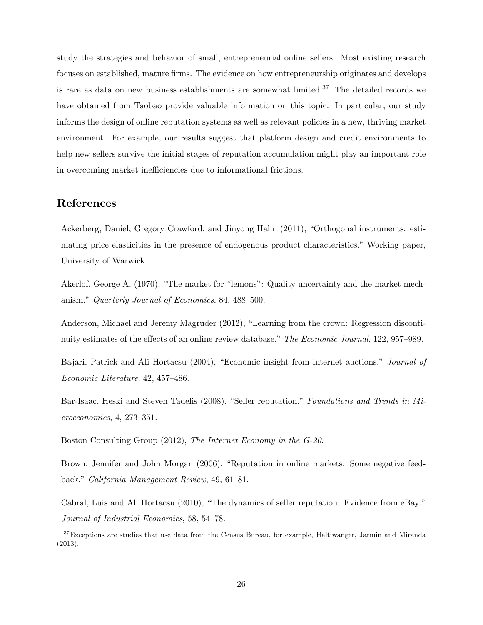study the strategies and behavior of small, entrepreneurial online sellers. Most existing research focuses on established, mature firms. The evidence on how entrepreneurship originates and develops is rare as data on new business establishments are somewhat limited. $37$  The detailed records we have obtained from Taobao provide valuable information on this topic. In particular, our study informs the design of online reputation systems as well as relevant policies in a new, thriving market environment. For example, our results suggest that platform design and credit environments to help new sellers survive the initial stages of reputation accumulation might play an important role in overcoming market inefficiencies due to informational frictions.

## References

<span id="page-25-5"></span>Ackerberg, Daniel, Gregory Crawford, and Jinyong Hahn (2011), "Orthogonal instruments: estimating price elasticities in the presence of endogenous product characteristics." Working paper, University of Warwick.

<span id="page-25-0"></span>Akerlof, George A. (1970), "The market for "lemons": Quality uncertainty and the market mechanism." Quarterly Journal of Economics, 84, 488–500.

<span id="page-25-2"></span>Anderson, Michael and Jeremy Magruder (2012), "Learning from the crowd: Regression discontinuity estimates of the effects of an online review database." The Economic Journal, 122, 957–989.

<span id="page-25-4"></span>Bajari, Patrick and Ali Hortacsu (2004), "Economic insight from internet auctions." *Journal of* Economic Literature, 42, 457–486.

Bar-Isaac, Heski and Steven Tadelis (2008), "Seller reputation." Foundations and Trends in Microeconomics, 4, 273–351.

Boston Consulting Group (2012), The Internet Economy in the G-20.

<span id="page-25-3"></span>Brown, Jennifer and John Morgan (2006), "Reputation in online markets: Some negative feedback." California Management Review, 49, 61–81.

<span id="page-25-1"></span>Cabral, Luis and Ali Hortacsu (2010), "The dynamics of seller reputation: Evidence from eBay." Journal of Industrial Economics, 58, 54–78.

<sup>&</sup>lt;sup>37</sup>Exceptions are studies that use data from the Census Bureau, for example, [Haltiwanger, Jarmin and Miranda](#page-26-11) [\(2013\)](#page-26-11).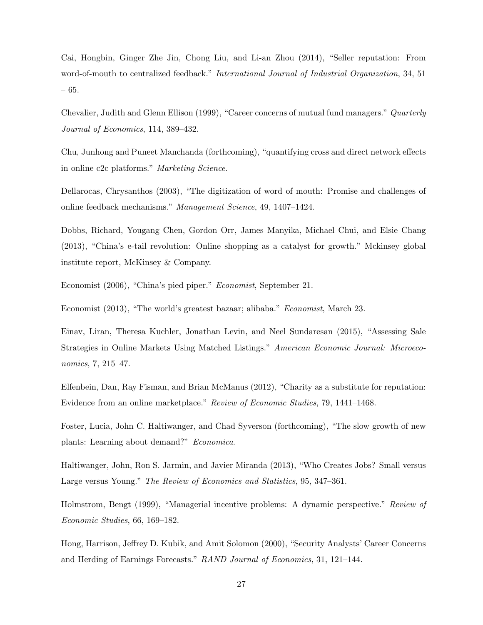<span id="page-26-3"></span>Cai, Hongbin, Ginger Zhe Jin, Chong Liu, and Li-an Zhou (2014), "Seller reputation: From word-of-mouth to centralized feedback." International Journal of Industrial Organization, 34, 51 – 65.

<span id="page-26-7"></span>Chevalier, Judith and Glenn Ellison (1999), "Career concerns of mutual fund managers." Quarterly Journal of Economics, 114, 389–432.

<span id="page-26-4"></span>Chu, Junhong and Puneet Manchanda (forthcoming), "quantifying cross and direct network effects in online c2c platforms." Marketing Science.

<span id="page-26-2"></span>Dellarocas, Chrysanthos (2003), "The digitization of word of mouth: Promise and challenges of online feedback mechanisms." Management Science, 49, 1407–1424.

<span id="page-26-9"></span>Dobbs, Richard, Yougang Chen, Gordon Orr, James Manyika, Michael Chui, and Elsie Chang (2013), "China's e-tail revolution: Online shopping as a catalyst for growth." Mckinsey global institute report, McKinsey & Company.

Economist (2006), "China's pied piper." Economist, September 21.

<span id="page-26-1"></span>Economist (2013), "The world's greatest bazaar; alibaba." Economist, March 23.

<span id="page-26-6"></span>Einav, Liran, Theresa Kuchler, Jonathan Levin, and Neel Sundaresan (2015), "Assessing Sale Strategies in Online Markets Using Matched Listings." American Economic Journal: Microeconomics, 7, 215–47.

<span id="page-26-5"></span>Elfenbein, Dan, Ray Fisman, and Brian McManus (2012), "Charity as a substitute for reputation: Evidence from an online marketplace." Review of Economic Studies, 79, 1441–1468.

<span id="page-26-10"></span>Foster, Lucia, John C. Haltiwanger, and Chad Syverson (forthcoming), "The slow growth of new plants: Learning about demand?" Economica.

<span id="page-26-11"></span>Haltiwanger, John, Ron S. Jarmin, and Javier Miranda (2013), "Who Creates Jobs? Small versus Large versus Young." The Review of Economics and Statistics, 95, 347–361.

<span id="page-26-0"></span>Holmstrom, Bengt (1999), "Managerial incentive problems: A dynamic perspective." Review of Economic Studies, 66, 169–182.

<span id="page-26-8"></span>Hong, Harrison, Jeffrey D. Kubik, and Amit Solomon (2000), "Security Analysts' Career Concerns and Herding of Earnings Forecasts." RAND Journal of Economics, 31, 121–144.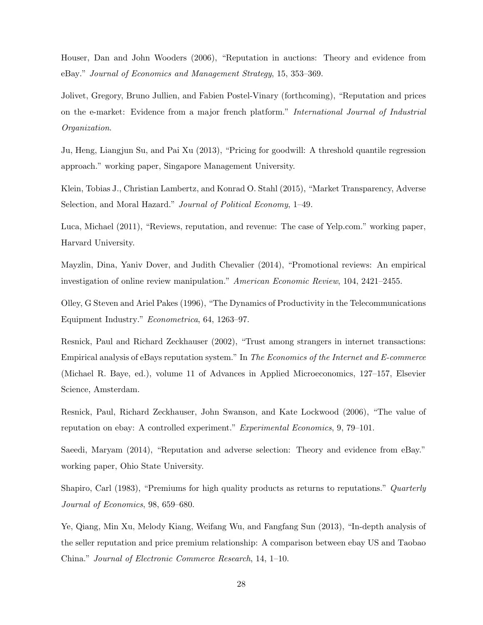<span id="page-27-2"></span>Houser, Dan and John Wooders (2006), "Reputation in auctions: Theory and evidence from eBay." Journal of Economics and Management Strategy, 15, 353–369.

<span id="page-27-5"></span>Jolivet, Gregory, Bruno Jullien, and Fabien Postel-Vinary (forthcoming), "Reputation and prices on the e-market: Evidence from a major french platform." International Journal of Industrial Organization.

<span id="page-27-8"></span>Ju, Heng, Liangjun Su, and Pai Xu (2013), "Pricing for goodwill: A threshold quantile regression approach." working paper, Singapore Management University.

<span id="page-27-9"></span>Klein, Tobias J., Christian Lambertz, and Konrad O. Stahl (2015), "Market Transparency, Adverse Selection, and Moral Hazard." *Journal of Political Economy*, 1–49.

<span id="page-27-4"></span>Luca, Michael (2011), "Reviews, reputation, and revenue: The case of Yelp.com." working paper, Harvard University.

<span id="page-27-6"></span>Mayzlin, Dina, Yaniv Dover, and Judith Chevalier (2014), "Promotional reviews: An empirical investigation of online review manipulation." American Economic Review, 104, 2421–2455.

<span id="page-27-11"></span>Olley, G Steven and Ariel Pakes (1996), "The Dynamics of Productivity in the Telecommunications Equipment Industry." Econometrica, 64, 1263–97.

<span id="page-27-1"></span>Resnick, Paul and Richard Zeckhauser (2002), "Trust among strangers in internet transactions: Empirical analysis of eBays reputation system." In The Economics of the Internet and E-commerce (Michael R. Baye, ed.), volume 11 of Advances in Applied Microeconomics, 127–157, Elsevier Science, Amsterdam.

<span id="page-27-3"></span>Resnick, Paul, Richard Zeckhauser, John Swanson, and Kate Lockwood (2006), "The value of reputation on ebay: A controlled experiment." Experimental Economics, 9, 79–101.

<span id="page-27-10"></span>Saeedi, Maryam (2014), "Reputation and adverse selection: Theory and evidence from eBay." working paper, Ohio State University.

<span id="page-27-0"></span>Shapiro, Carl (1983), "Premiums for high quality products as returns to reputations." *Quarterly* Journal of Economics, 98, 659–680.

<span id="page-27-7"></span>Ye, Qiang, Min Xu, Melody Kiang, Weifang Wu, and Fangfang Sun (2013), "In-depth analysis of the seller reputation and price premium relationship: A comparison between ebay US and Taobao China." Journal of Electronic Commerce Research, 14, 1–10.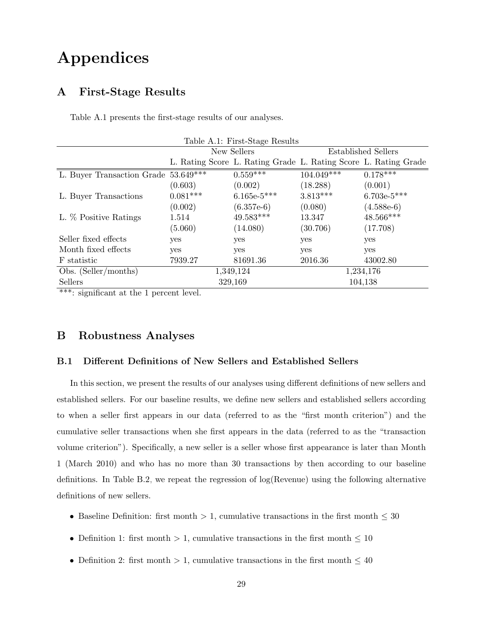## Appendices

## <span id="page-28-1"></span>A First-Stage Results

Table [A.1](#page-8-0) presents the first-stage results of our analyses.

| Table A.1: First-Stage Results         |             |                                                                 |                     |               |  |  |
|----------------------------------------|-------------|-----------------------------------------------------------------|---------------------|---------------|--|--|
|                                        | New Sellers |                                                                 | Established Sellers |               |  |  |
|                                        |             | L. Rating Score L. Rating Grade L. Rating Score L. Rating Grade |                     |               |  |  |
| L. Buyer Transaction Grade $53.649***$ |             | $0.559***$                                                      | $104.049***$        | $0.178***$    |  |  |
|                                        | (0.603)     | (0.002)                                                         | (18.288)            | (0.001)       |  |  |
| L. Buyer Transactions                  | $0.081***$  | $6.165e-5***$                                                   | $3.813***$          | $6.703e-5***$ |  |  |
|                                        | (0.002)     | $(6.357e-6)$                                                    | (0.080)             | $(4.588e-6)$  |  |  |
| L. % Positive Ratings                  | 1.514       | $49.583***$                                                     | 13.347              | 48.566***     |  |  |
|                                        | (5.060)     | (14.080)                                                        | (30.706)            | (17.708)      |  |  |
| Seller fixed effects                   | yes         | yes                                                             | yes                 | yes           |  |  |
| Month fixed effects                    | yes         | yes                                                             | yes                 | yes           |  |  |
| F statistic                            | 7939.27     | 81691.36                                                        | 2016.36             | 43002.80      |  |  |
| Obs. (Seller/months)                   |             | 1,349,124                                                       |                     | 1,234,176     |  |  |
| Sellers                                | 329,169     |                                                                 | 104,138             |               |  |  |

\*\*\*: significant at the 1 percent level.

## <span id="page-28-0"></span>B Robustness Analyses

## B.1 Different Definitions of New Sellers and Established Sellers

In this section, we present the results of our analyses using different definitions of new sellers and established sellers. For our baseline results, we define new sellers and established sellers according to when a seller first appears in our data (referred to as the "first month criterion") and the cumulative seller transactions when she first appears in the data (referred to as the "transaction volume criterion"). Specifically, a new seller is a seller whose first appearance is later than Month 1 (March 2010) and who has no more than 30 transactions by then according to our baseline definitions. In Table [B.2,](#page-11-0) we repeat the regression of log(Revenue) using the following alternative definitions of new sellers.

- Baseline Definition: first month  $> 1$ , cumulative transactions in the first month  $\leq 30$
- Definition 1: first month  $> 1$ , cumulative transactions in the first month  $\leq 10$
- Definition 2: first month  $> 1$ , cumulative transactions in the first month  $\leq 40$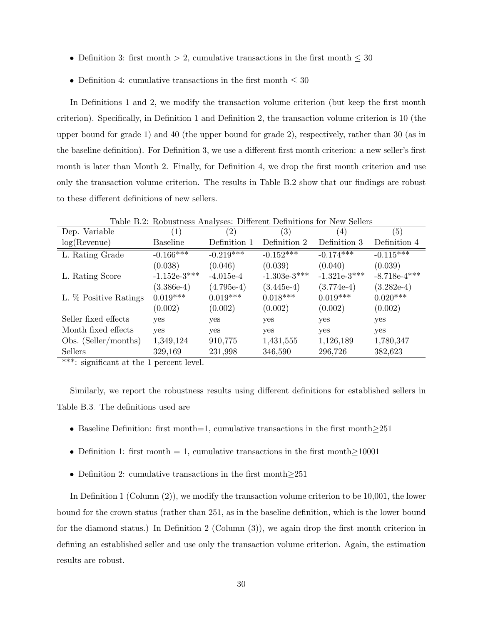- Definition 3: first month  $> 2$ , cumulative transactions in the first month  $\leq 30$
- Definition 4: cumulative transactions in the first month  $\leq 30$

In Definitions 1 and 2, we modify the transaction volume criterion (but keep the first month criterion). Specifically, in Definition 1 and Definition 2, the transaction volume criterion is 10 (the upper bound for grade 1) and 40 (the upper bound for grade 2), respectively, rather than 30 (as in the baseline definition). For Definition 3, we use a different first month criterion: a new seller's first month is later than Month 2. Finally, for Definition 4, we drop the first month criterion and use only the transaction volume criterion. The results in Table [B.2](#page-11-0) show that our findings are robust to these different definitions of new sellers.

| Dep. Variable          | $\left( 1\right)$ | $\left( 2\right)$ | $\left( 3\right)$ | (4)            | (5)            |
|------------------------|-------------------|-------------------|-------------------|----------------|----------------|
| $log($ Revenue $)$     | Baseline          | Definition 1      | Definition 2      | Definition 3   | Definition 4   |
| L. Rating Grade        | $-0.166***$       | $-0.219***$       | $-0.152***$       | $-0.174***$    | $-0.115***$    |
|                        | (0.038)           | (0.046)           | (0.039)           | (0.040)        | (0.039)        |
| L. Rating Score        | $-1.152e-3***$    | $-4.015e-4$       | $-1.303e-3***$    | $-1.321e-3***$ | $-8.718e-4***$ |
|                        | $(3.386e-4)$      | $(4.795e-4)$      | $(3.445e-4)$      | $(3.774e-4)$   | $(3.282e-4)$   |
| L. % Positive Ratings  | $0.019***$        | $0.019***$        | $0.018***$        | $0.019***$     | $0.020***$     |
|                        | (0.002)           | (0.002)           | (0.002)           | (0.002)        | (0.002)        |
| Seller fixed effects   | yes               | yes               | yes               | yes            | yes            |
| Month fixed effects    | yes               | yes               | yes               | yes            | yes            |
| Obs. $(Seller/months)$ | 1,349,124         | 910,775           | 1,431,555         | 1,126,189      | 1,780,347      |
| Sellers                | 329,169           | 231,998           | 346,590           | 296,726        | 382,623        |

Table B.2: Robustness Analyses: Different Definitions for New Sellers

\*\*\*: significant at the 1 percent level.

Similarly, we report the robustness results using different definitions for established sellers in Table [B.3.](#page-11-1) The definitions used are

- Baseline Definition: first month=1, cumulative transactions in the first month≥251
- Definition 1: first month = 1, cumulative transactions in the first month  $\geq$  10001
- Definition 2: cumulative transactions in the first month≥251

In Definition 1 (Column (2)), we modify the transaction volume criterion to be 10,001, the lower bound for the crown status (rather than 251, as in the baseline definition, which is the lower bound for the diamond status.) In Definition 2 (Column (3)), we again drop the first month criterion in defining an established seller and use only the transaction volume criterion. Again, the estimation results are robust.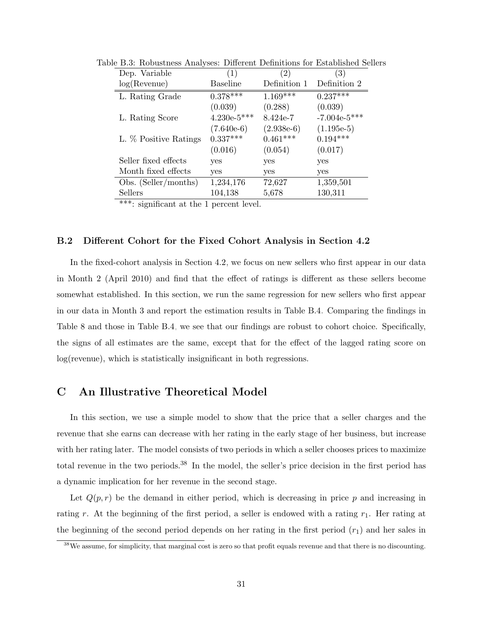| Dep. Variable          | (1)             | $^{\prime}2)$ | $\left( 3\right)$ |
|------------------------|-----------------|---------------|-------------------|
| $log($ Revenue $)$     | <b>Baseline</b> | Definition 1  | Definition 2      |
| L. Rating Grade        | $0.378***$      | $1.169***$    | $0.237***$        |
|                        | (0.039)         | (0.288)       | (0.039)           |
| L. Rating Score        | $4.230e-5***$   | 8.424e-7      | $-7.004e-5***$    |
|                        | $(7.640e-6)$    | $(2.938e-6)$  | $(1.195e-5)$      |
| L. % Positive Ratings  | $0.337***$      | $0.461***$    | $0.194***$        |
|                        | (0.016)         | (0.054)       | (0.017)           |
| Seller fixed effects   | yes             | yes           | yes               |
| Month fixed effects    | yes             | yes           | yes               |
| Obs. $(Seller/months)$ | 1,234,176       | 72,627        | 1,359,501         |
| Sellers                | 104,138         | 5,678         | 130,311           |

Table B.3: Robustness Analyses: Different Definitions for Established Sellers

\*\*\*: significant at the 1 percent level.

#### B.2 Different Cohort for the Fixed Cohort Analysis in Section [4.2](#page-20-0)

In the fixed-cohort analysis in Section [4.2,](#page-20-0) we focus on new sellers who first appear in our data in Month 2 (April 2010) and find that the effect of ratings is different as these sellers become somewhat established. In this section, we run the same regression for new sellers who first appear in our data in Month 3 and report the estimation results in Table [B.4.](#page-13-0) Comparing the findings in Table [8](#page-21-0) and those in Table [B.4,](#page-13-0) we see that our findings are robust to cohort choice. Specifically, the signs of all estimates are the same, except that for the effect of the lagged rating score on log(revenue), which is statistically insignificant in both regressions.

## <span id="page-30-0"></span>C An Illustrative Theoretical Model

In this section, we use a simple model to show that the price that a seller charges and the revenue that she earns can decrease with her rating in the early stage of her business, but increase with her rating later. The model consists of two periods in which a seller chooses prices to maximize total revenue in the two periods.<sup>38</sup> In the model, the seller's price decision in the first period has a dynamic implication for her revenue in the second stage.

Let  $Q(p, r)$  be the demand in either period, which is decreasing in price p and increasing in rating r. At the beginning of the first period, a seller is endowed with a rating  $r_1$ . Her rating at the beginning of the second period depends on her rating in the first period  $(r_1)$  and her sales in

<sup>&</sup>lt;sup>38</sup>We assume, for simplicity, that marginal cost is zero so that profit equals revenue and that there is no discounting.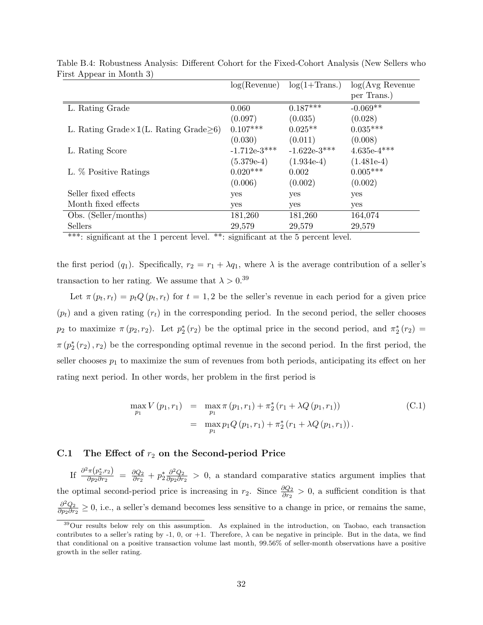|                                                      |                | $log($ Revenue $)$ $log(1+Trans.)$ | $log(Avg$ Revenue |
|------------------------------------------------------|----------------|------------------------------------|-------------------|
|                                                      |                |                                    | per Trans.)       |
| L. Rating Grade                                      | 0.060          | $0.187***$                         | $-0.069**$        |
|                                                      | (0.097)        | (0.035)                            | (0.028)           |
| L. Rating Grade $\times$ 1(L. Rating Grade $\geq$ 6) | $0.107***$     | $0.025**$                          | $0.035***$        |
|                                                      | (0.030)        | (0.011)                            | (0.008)           |
| L. Rating Score                                      | $-1.712e-3***$ | $-1.622e-3***$                     | $4.635e-4***$     |
|                                                      | $(5.379e-4)$   | $(1.934e-4)$                       | $(1.481e-4)$      |
| L. % Positive Ratings                                | $0.020***$     | 0.002                              | $0.005^{***}\,$   |
|                                                      | (0.006)        | (0.002)                            | (0.002)           |
| Seller fixed effects                                 | yes            | yes                                | yes               |
| Month fixed effects                                  | yes            | yes                                | yes               |
| Obs. (Seller/months)                                 | 181,260        | 181,260                            | 164,074           |
| Sellers                                              | 29,579         | 29,579                             | 29,579            |
| all all a<br>.<br>$\sim$ $\sim$ $\sim$               |                |                                    |                   |

Table B.4: Robustness Analysis: Different Cohort for the Fixed-Cohort Analysis (New Sellers who First Appear in Month 3)

\*\*\*: significant at the 1 percent level. \*\*: significant at the 5 percent level.

the first period (q<sub>1</sub>). Specifically,  $r_2 = r_1 + \lambda q_1$ , where  $\lambda$  is the average contribution of a seller's transaction to her rating. We assume that  $\lambda > 0.39$ 

Let  $\pi(p_t, r_t) = p_t Q(p_t, r_t)$  for  $t = 1, 2$  be the seller's revenue in each period for a given price  $(p_t)$  and a given rating  $(r_t)$  in the corresponding period. In the second period, the seller chooses p<sub>2</sub> to maximize  $\pi(p_2, r_2)$ . Let  $p_2^*(r_2)$  be the optimal price in the second period, and  $\pi_2^*(r_2)$  =  $\pi(p_2^*(r_2), r_2)$  be the corresponding optimal revenue in the second period. In the first period, the seller chooses  $p_1$  to maximize the sum of revenues from both periods, anticipating its effect on her rating next period. In other words, her problem in the first period is

$$
\max_{p_1} V(p_1, r_1) = \max_{p_1} \pi (p_1, r_1) + \pi_2^* (r_1 + \lambda Q (p_1, r_1))
$$
\n
$$
= \max_{p_1} p_1 Q(p_1, r_1) + \pi_2^* (r_1 + \lambda Q (p_1, r_1)).
$$
\n(C.1)

## C.1 The Effect of  $r_2$  on the Second-period Price

If  $\frac{\partial^2 \pi (p_2^*, r_2)}{\partial p_2 \partial r_2}$  $\frac{\partial \overline{\alpha}(p_2^*.r_2)}{\partial p_2 \partial r_2} = \frac{\partial Q_2}{\partial r_2}$  $\frac{\partial Q_2}{\partial r_2} + p_2^* \frac{\partial^2 Q_2}{\partial p_2 \partial r_1}$  $\frac{\partial^2 Q_2}{\partial p_2 \partial r_2} > 0$ , a standard comparative statics argument implies that the optimal second-period price is increasing in  $r_2$ . Since  $\frac{\partial Q_2}{\partial r_2} > 0$ , a sufficient condition is that  $\partial^2 Q_2$  $\frac{\partial^2 Q_2}{\partial p_2 \partial r_2} \geq 0$ , i.e., a seller's demand becomes less sensitive to a change in price, or remains the same,

<sup>&</sup>lt;sup>39</sup>Our results below rely on this assumption. As explained in the introduction, on Taobao, each transaction contributes to a seller's rating by -1, 0, or +1. Therefore,  $\lambda$  can be negative in principle. But in the data, we find that conditional on a positive transaction volume last month, 99.56% of seller-month observations have a positive growth in the seller rating.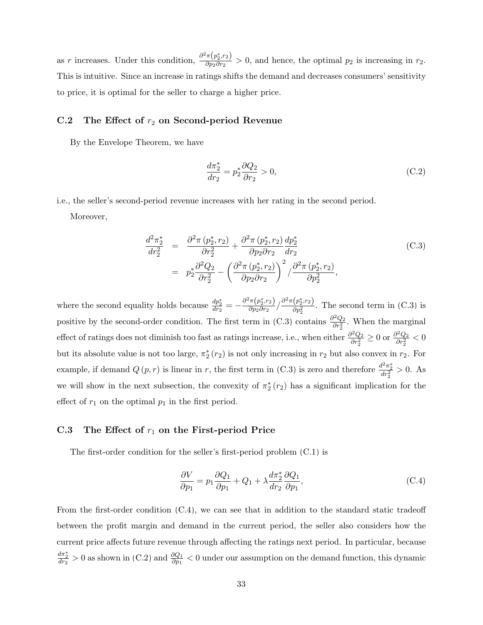as r increases. Under this condition,  $\frac{\partial^2 \pi (p_2^*, r_2)}{\partial p_2 \partial r_2}$  $\frac{\partial^{n}(P_{2},P_{2})}{\partial p_{2}\partial r_{2}}>0$ , and hence, the optimal  $p_{2}$  is increasing in  $r_{2}$ . This is intuitive. Since an increase in ratings shifts the demand and decreases consumers' sensitivity to price, it is optimal for the seller to charge a higher price.

## C.2 The Effect of  $r_2$  on Second-period Revenue

By the Envelope Theorem, we have

<span id="page-32-2"></span>
$$
\frac{d\pi_2^*}{dr_2} = p_2^* \frac{\partial Q_2}{\partial r_2} > 0,\tag{C.2}
$$

i.e., the seller's second-period revenue increases with her rating in the second period.

Moreover,

<span id="page-32-0"></span>
$$
\frac{d^2 \pi_2^*}{dr_2^2} = \frac{\partial^2 \pi (p_2^*, r_2)}{\partial r_2^2} + \frac{\partial^2 \pi (p_2^*, r_2)}{\partial p_2 \partial r_2} \frac{dp_2^*}{dr_2}
$$
\n
$$
= p_2^* \frac{\partial^2 Q_2}{\partial r_2^2} - \left(\frac{\partial^2 \pi (p_2^*, r_2)}{\partial p_2 \partial r_2}\right)^2 / \frac{\partial^2 \pi (p_2^*, r_2)}{\partial p_2^2},
$$
\n(C.3)

where the second equality holds because  $\frac{dp_2^*}{dr_2} = -\frac{\partial^2 \pi (p_2^*, r_2)}{\partial p_2 \partial r_2}$  $\frac{\partial^2\pi\big(p_2^*,r_2\big)}{\partial p_2\partial r_2}\big/\frac{\partial^2\pi\big(p_2^*,r_2\big)}{\partial p_2^2}$  $\frac{(p_2, r_2)}{\partial p_2^2}$ . The second term in [\(C.3\)](#page-32-0) is positive by the second-order condition. The first term in [\(C.3\)](#page-32-0) contains  $\frac{\partial^2 Q_2}{\partial x^2}$  $rac{\partial^2 Q_2}{\partial r_2^2}$ . When the marginal effect of ratings does not diminish too fast as ratings increase, i.e., when either  $\frac{\partial^2 Q_2}{\partial x^2}$  $\frac{\partial^2 Q_2}{\partial r_2^2} \ge 0$  or  $\frac{\partial^2 Q_2}{\partial r_2^2}$  $\frac{\partial^2 U_2}{\partial r_2^2} < 0$ but its absolute value is not too large,  $\pi_2^*(r_2)$  is not only increasing in  $r_2$  but also convex in  $r_2$ . For example, if demand  $Q(p,r)$  is linear in r, the first term in [\(C.3\)](#page-32-0) is zero and therefore  $\frac{d^2\pi_2^*}{dr_2^2} > 0$ . As we will show in the next subsection, the convexity of  $\pi_2^*(r_2)$  has a significant implication for the effect of  $r_1$  on the optimal  $p_1$  in the first period.

## <span id="page-32-3"></span>C.3 The Effect of  $r_1$  on the First-period Price

The first-order condition for the seller's first-period problem [\(C.1\)](#page-13-2) is

<span id="page-32-1"></span>
$$
\frac{\partial V}{\partial p_1} = p_1 \frac{\partial Q_1}{\partial p_1} + Q_1 + \lambda \frac{d\pi_2^*}{dr_2} \frac{\partial Q_1}{\partial p_1},\tag{C.4}
$$

From the first-order condition [\(C.4\)](#page-32-1), we can see that in addition to the standard static tradeoff between the profit margin and demand in the current period, the seller also considers how the current price affects future revenue through affecting the ratings next period. In particular, because  $\frac{d\pi_2^*}{dr_2} > 0$  as shown in [\(C.2\)](#page-32-2) and  $\frac{\partial Q_1}{\partial p_1} < 0$  under our assumption on the demand function, this dynamic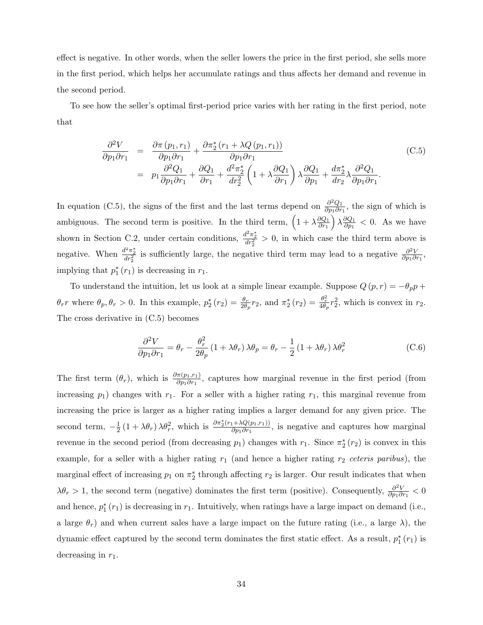effect is negative. In other words, when the seller lowers the price in the first period, she sells more in the first period, which helps her accumulate ratings and thus affects her demand and revenue in the second period.

To see how the seller's optimal first-period price varies with her rating in the first period, note that

<span id="page-33-0"></span>
$$
\frac{\partial^2 V}{\partial p_1 \partial r_1} = \frac{\partial \pi (p_1, r_1)}{\partial p_1 \partial r_1} + \frac{\partial \pi_2^*(r_1 + \lambda Q(p_1, r_1))}{\partial p_1 \partial r_1} \n= p_1 \frac{\partial^2 Q_1}{\partial p_1 \partial r_1} + \frac{\partial Q_1}{\partial r_1} + \frac{d^2 \pi_2^*}{dr_2^2} \left(1 + \lambda \frac{\partial Q_1}{\partial r_1}\right) \lambda \frac{\partial Q_1}{\partial p_1} + \frac{d \pi_2^*}{dr_2} \lambda \frac{\partial^2 Q_1}{\partial p_1 \partial r_1}.
$$
\n(C.5)

In equation [\(C.5\)](#page-33-0), the signs of the first and the last terms depend on  $\frac{\partial^2 Q_1}{\partial m \partial r}$  $\frac{\partial^2 Q_1}{\partial p_1 \partial r_1}$ , the sign of which is ambiguous. The second term is positive. In the third term,  $\left(1 + \lambda \frac{\partial Q_1}{\partial r_1}\right)$  $\partial r_1$  $\left.\right\}$   $\lambda \frac{\partial Q_1}{\partial n_1}$  $\frac{\partial Q_1}{\partial p_1} < 0$ . As we have shown in Section [C.2,](#page-13-1) under certain conditions,  $\frac{d^2 \pi_2^*}{dr_2^2} > 0$ , in which case the third term above is negative. When  $\frac{d^2 \pi_2^*}{dr_2^2}$  is sufficiently large, the negative third term may lead to a negative  $\frac{\partial^2 V}{\partial p_1 \partial r_2}$  $\frac{\partial^2 V}{\partial p_1 \partial r_1},$ implying that  $p_1^*(r_1)$  is decreasing in  $r_1$ .

To understand the intuition, let us look at a simple linear example. Suppose  $Q(p, r) = -\theta_p p +$  $\theta_r r$  where  $\theta_p$ ,  $\theta_r > 0$ . In this example,  $p_2^*(r_2) = \frac{\theta_r}{2\theta_p} r_2$ , and  $\pi_2^*(r_2) = \frac{\theta_r^2}{4\theta_p} r_2^2$ , which is convex in  $r_2$ . The cross derivative in [\(C.5\)](#page-33-0) becomes

$$
\frac{\partial^2 V}{\partial p_1 \partial r_1} = \theta_r - \frac{\theta_r^2}{2\theta_p} \left( 1 + \lambda \theta_r \right) \lambda \theta_p = \theta_r - \frac{1}{2} \left( 1 + \lambda \theta_r \right) \lambda \theta_r^2 \tag{C.6}
$$

The first term  $(\theta_r)$ , which is  $\frac{\partial \pi(p_1,r_1)}{\partial p_1 \partial r_1}$ , captures how marginal revenue in the first period (from increasing  $p_1$ ) changes with  $r_1$ . For a seller with a higher rating  $r_1$ , this marginal revenue from increasing the price is larger as a higher rating implies a larger demand for any given price. The second term,  $-\frac{1}{2}$  $\frac{1}{2}(1+\lambda\theta_r)\lambda\theta_r^2$ , which is  $\frac{\partial \pi_2^*(r_1+\lambda Q(p_1,r_1))}{\partial p_1 \partial r_1}$  $\frac{1+\lambda Q(p_1,r_1)}{\partial p_1 \partial r_1}$ , is negative and captures how marginal revenue in the second period (from decreasing  $p_1$ ) changes with  $r_1$ . Since  $\pi^*_2(r_2)$  is convex in this example, for a seller with a higher rating  $r_1$  (and hence a higher rating  $r_2$  ceteris paribus), the marginal effect of increasing  $p_1$  on  $\pi_2^*$  through affecting  $r_2$  is larger. Our result indicates that when  $\lambda \theta_r > 1$ , the second term (negative) dominates the first term (positive). Consequently,  $\frac{\partial^2 V}{\partial n_1 \partial r_2}$  $\frac{\partial^2 V}{\partial p_1 \partial r_1} < 0$ and hence,  $p_1^*(r_1)$  is decreasing in  $r_1$ . Intuitively, when ratings have a large impact on demand (i.e., a large  $\theta_r$ ) and when current sales have a large impact on the future rating (i.e., a large  $\lambda$ ), the dynamic effect captured by the second term dominates the first static effect. As a result,  $p_1^*(r_1)$  is decreasing in  $r_1$ .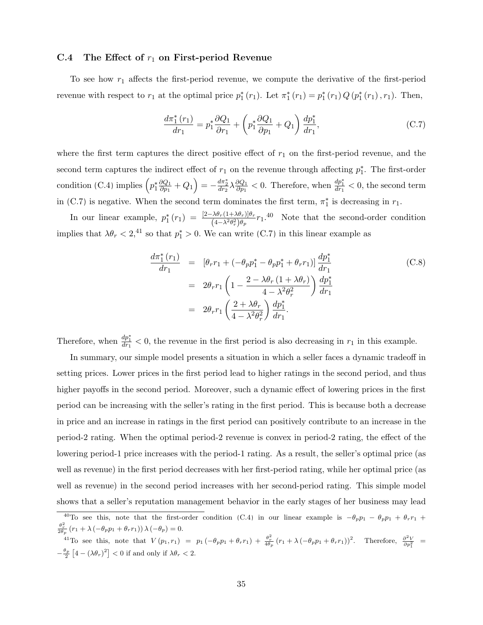## C.4 The Effect of  $r_1$  on First-period Revenue

To see how  $r_1$  affects the first-period revenue, we compute the derivative of the first-period revenue with respect to  $r_1$  at the optimal price  $p_1^*(r_1)$ . Let  $\pi_1^*(r_1) = p_1^*(r_1) Q (p_1^*(r_1), r_1)$ . Then,

<span id="page-34-0"></span>
$$
\frac{d\pi_1^*(r_1)}{dr_1} = p_1^* \frac{\partial Q_1}{\partial r_1} + \left( p_1^* \frac{\partial Q_1}{\partial p_1} + Q_1 \right) \frac{dp_1^*}{dr_1},\tag{C.7}
$$

where the first term captures the direct positive effect of  $r_1$  on the first-period revenue, and the second term captures the indirect effect of  $r_1$  on the revenue through affecting  $p_1^*$ . The first-order condition [\(C.4\)](#page-32-1) implies  $\left(p_1^*\frac{\partial Q_1}{\partial p_1}\right)$  $\left(\frac{\partial Q_1}{\partial p_1}+Q_1\right)=-\frac{d\pi_2^*}{dr_2}\lambda\frac{\partial Q_1}{\partial p_1}$  $\frac{\partial Q_1}{\partial p_1} < 0$ . Therefore, when  $\frac{dp_1^*}{dr_1} < 0$ , the second term in [\(C.7\)](#page-34-0) is negative. When the second term dominates the first term,  $\pi_1^*$  is decreasing in  $r_1$ .

In our linear example,  $p_1^*(r_1) = \frac{[2-\lambda\theta_r(1+\lambda\theta_r)]\theta_r}{(4-\lambda^2\theta_r^2)\theta_p}r_1^{40}$  Note that the second-order condition implies that  $\lambda \theta_r < 2$ <sup>41</sup>, so that  $p_1^* > 0$ . We can write [\(C.7\)](#page-34-0) in this linear example as

$$
\frac{d\pi_1^*(r_1)}{dr_1} = [\theta_r r_1 + (-\theta_p p_1^* - \theta_p p_1^* + \theta_r r_1)] \frac{dp_1^*}{dr_1}
$$
\n
$$
= 2\theta_r r_1 \left(1 - \frac{2 - \lambda \theta_r (1 + \lambda \theta_r)}{4 - \lambda^2 \theta_r^2}\right) \frac{dp_1^*}{dr_1}
$$
\n
$$
= 2\theta_r r_1 \left(\frac{2 + \lambda \theta_r}{4 - \lambda^2 \theta_r^2}\right) \frac{dp_1^*}{dr_1}.
$$
\n(C.8)

Therefore, when  $\frac{dp_1^*}{dr_1} < 0$ , the revenue in the first period is also decreasing in  $r_1$  in this example.

In summary, our simple model presents a situation in which a seller faces a dynamic tradeoff in setting prices. Lower prices in the first period lead to higher ratings in the second period, and thus higher payoffs in the second period. Moreover, such a dynamic effect of lowering prices in the first period can be increasing with the seller's rating in the first period. This is because both a decrease in price and an increase in ratings in the first period can positively contribute to an increase in the period-2 rating. When the optimal period-2 revenue is convex in period-2 rating, the effect of the lowering period-1 price increases with the period-1 rating. As a result, the seller's optimal price (as well as revenue) in the first period decreases with her first-period rating, while her optimal price (as well as revenue) in the second period increases with her second-period rating. This simple model shows that a seller's reputation management behavior in the early stages of her business may lead

 $\frac{40}{2}$ To see this, note that the first-order condition [\(C.4\)](#page-32-1) in our linear example is  $-\theta_p p_1 - \theta_p p_1 + \theta_r r_1 +$  $\frac{\theta_r^2}{2\theta_p} (r_1 + \lambda \left(-\theta_p p_1 + \theta_r r_1\right)) \lambda \left(-\theta_p\right) = 0.$ 

<sup>&</sup>lt;sup>41</sup>To see this, note that  $V(p_1, r_1) = p_1 \left(-\theta_p p_1 + \theta_r r_1\right) + \frac{\theta_r^2}{4\theta_p} \left(r_1 + \lambda \left(-\theta_p p_1 + \theta_r r_1\right)\right)^2$ . Therefore,  $\frac{\partial^2 V}{\partial p_1^2}$  $-\frac{\theta_p}{2}\left[4 - (\lambda \theta_r)^2\right] < 0$  if and only if  $\lambda \theta_r < 2$ .